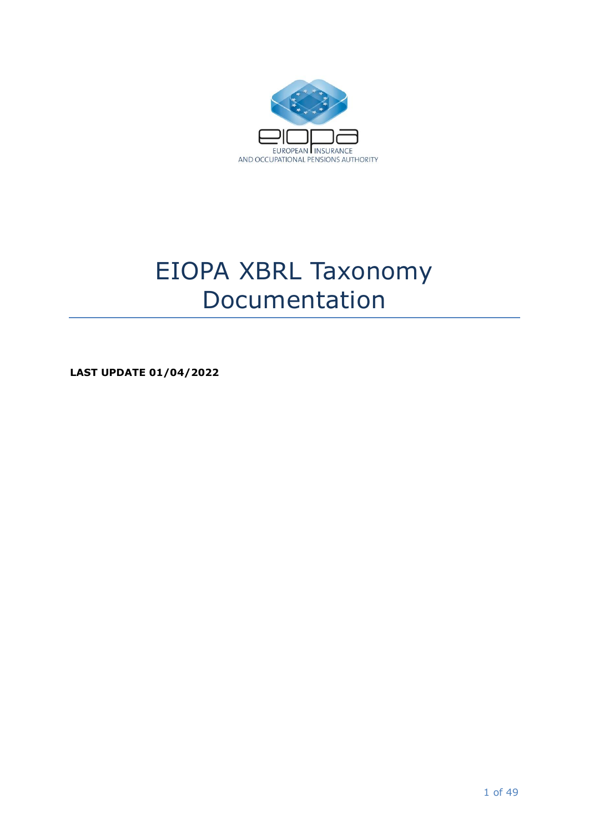

# EIOPA XBRL Taxonomy Documentation

**LAST UPDATE 01/04/2022**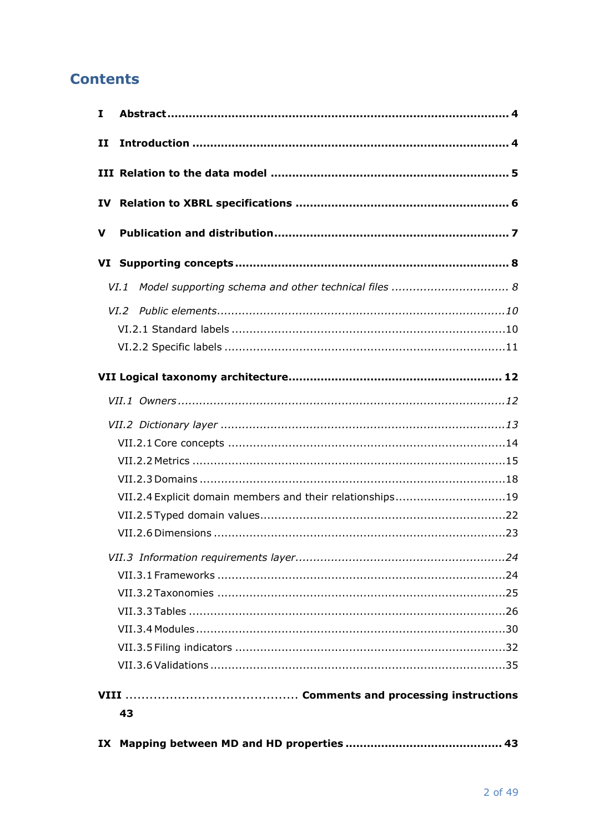# **Contents**

| I.           |                                                              |
|--------------|--------------------------------------------------------------|
| $\mathbf{H}$ |                                                              |
|              |                                                              |
| IV           |                                                              |
| v            |                                                              |
|              |                                                              |
|              | Model supporting schema and other technical files  8<br>VI.1 |
|              |                                                              |
|              |                                                              |
|              |                                                              |
|              |                                                              |
|              |                                                              |
|              |                                                              |
|              |                                                              |
|              |                                                              |
|              |                                                              |
|              | VII.2.4 Explicit domain members and their relationships19    |
|              |                                                              |
|              |                                                              |
|              |                                                              |
|              |                                                              |
|              |                                                              |
|              |                                                              |
|              |                                                              |
|              |                                                              |
|              |                                                              |
|              |                                                              |
|              | 43                                                           |
| IX           |                                                              |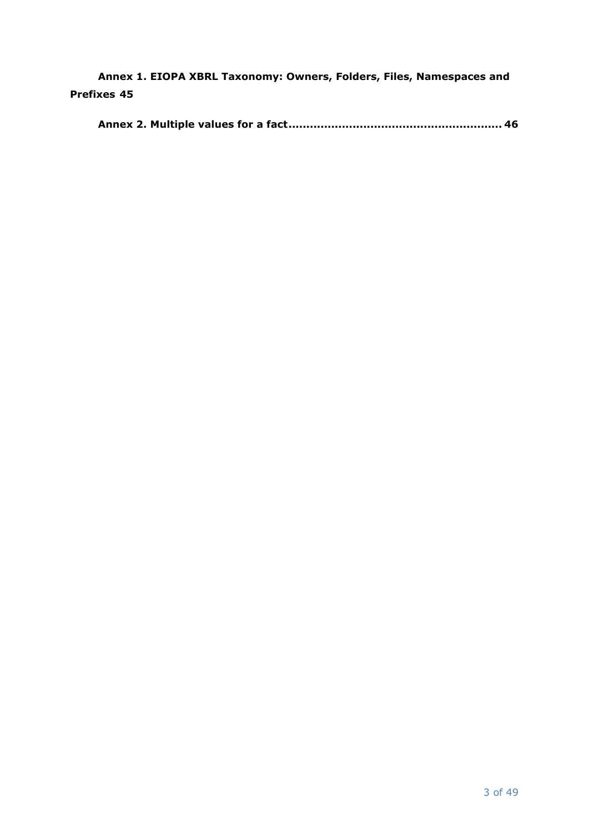**[Annex 1. EIOPA XBRL Taxonomy: Owners, Folders, Files, Namespaces and](#page-44-0)  [Prefixes](#page-44-0) 45**

|--|--|--|--|--|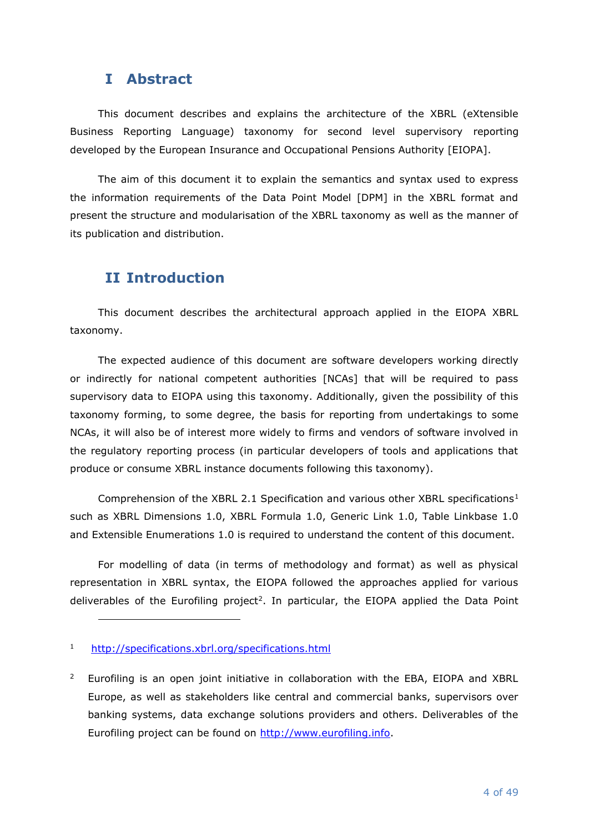# <span id="page-3-0"></span>**I Abstract**

This document describes and explains the architecture of the XBRL (eXtensible Business Reporting Language) taxonomy for second level supervisory reporting developed by the European Insurance and Occupational Pensions Authority [EIOPA].

The aim of this document it to explain the semantics and syntax used to express the information requirements of the Data Point Model [DPM] in the XBRL format and present the structure and modularisation of the XBRL taxonomy as well as the manner of its publication and distribution.

# <span id="page-3-1"></span>**II Introduction**

This document describes the architectural approach applied in the EIOPA XBRL taxonomy.

The expected audience of this document are software developers working directly or indirectly for national competent authorities [NCAs] that will be required to pass supervisory data to EIOPA using this taxonomy. Additionally, given the possibility of this taxonomy forming, to some degree, the basis for reporting from undertakings to some NCAs, it will also be of interest more widely to firms and vendors of software involved in the regulatory reporting process (in particular developers of tools and applications that produce or consume XBRL instance documents following this taxonomy).

Comprehension of the XBRL 2.1 Specification and various other XBRL specifications<sup>1</sup> such as XBRL Dimensions 1.0, XBRL Formula 1.0, Generic Link 1.0, Table Linkbase 1.0 and Extensible Enumerations 1.0 is required to understand the content of this document.

For modelling of data (in terms of methodology and format) as well as physical representation in XBRL syntax, the EIOPA followed the approaches applied for various deliverables of the Eurofiling project<sup>2</sup>. In particular, the EIOPA applied the Data Point

<sup>1</sup> <http://specifications.xbrl.org/specifications.html>

<sup>2</sup> Eurofiling is an open joint initiative in collaboration with the EBA, EIOPA and XBRL Europe, as well as stakeholders like central and commercial banks, supervisors over banking systems, data exchange solutions providers and others. Deliverables of the Eurofiling project can be found on [http://www.eurofiling.info.](http://www.eurofiling.info/)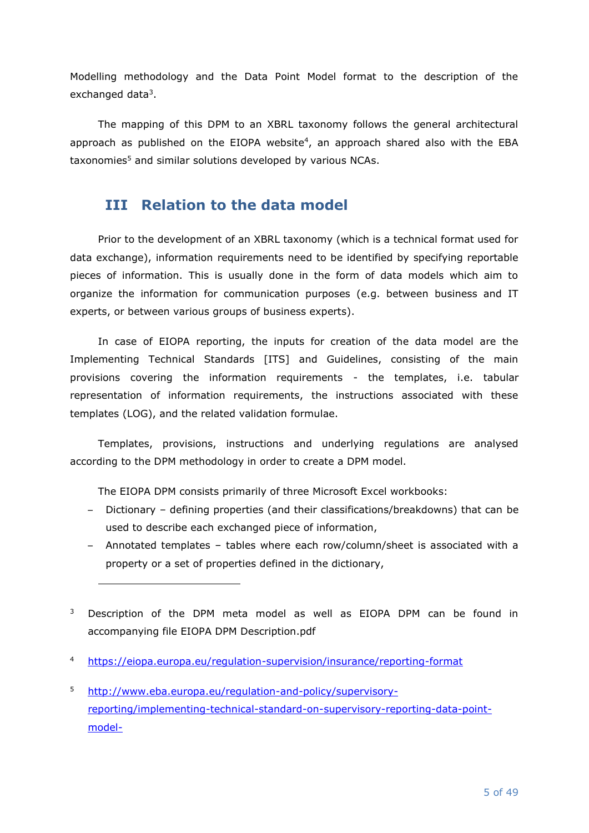Modelling methodology and the Data Point Model format to the description of the exchanged data<sup>3</sup>.

The mapping of this DPM to an XBRL taxonomy follows the general architectural approach as published on the EIOPA website 4 , an approach shared also with the EBA taxonomies<sup>5</sup> and similar solutions developed by various NCAs.

# <span id="page-4-0"></span>**III Relation to the data model**

Prior to the development of an XBRL taxonomy (which is a technical format used for data exchange), information requirements need to be identified by specifying reportable pieces of information. This is usually done in the form of data models which aim to organize the information for communication purposes (e.g. between business and IT experts, or between various groups of business experts).

In case of EIOPA reporting, the inputs for creation of the data model are the Implementing Technical Standards [ITS] and Guidelines, consisting of the main provisions covering the information requirements - the templates, i.e. tabular representation of information requirements, the instructions associated with these templates (LOG), and the related validation formulae.

Templates, provisions, instructions and underlying regulations are analysed according to the DPM methodology in order to create a DPM model.

The EIOPA DPM consists primarily of three Microsoft Excel workbooks:

- Dictionary defining properties (and their classifications/breakdowns) that can be used to describe each exchanged piece of information,
- Annotated templates tables where each row/column/sheet is associated with a property or a set of properties defined in the dictionary,
- <sup>3</sup> Description of the DPM meta model as well as EIOPA DPM can be found in accompanying file EIOPA DPM Description.pdf
- <sup>4</sup> <https://eiopa.europa.eu/regulation-supervision/insurance/reporting-format>
- <sup>5</sup> [http://www.eba.europa.eu/regulation-and-policy/supervisory](http://www.eba.europa.eu/regulation-and-policy/supervisory-reporting/implementing-technical-standard-on-supervisory-reporting-data-point-model-)[reporting/implementing-technical-standard-on-supervisory-reporting-data-point](http://www.eba.europa.eu/regulation-and-policy/supervisory-reporting/implementing-technical-standard-on-supervisory-reporting-data-point-model-)[model-](http://www.eba.europa.eu/regulation-and-policy/supervisory-reporting/implementing-technical-standard-on-supervisory-reporting-data-point-model-)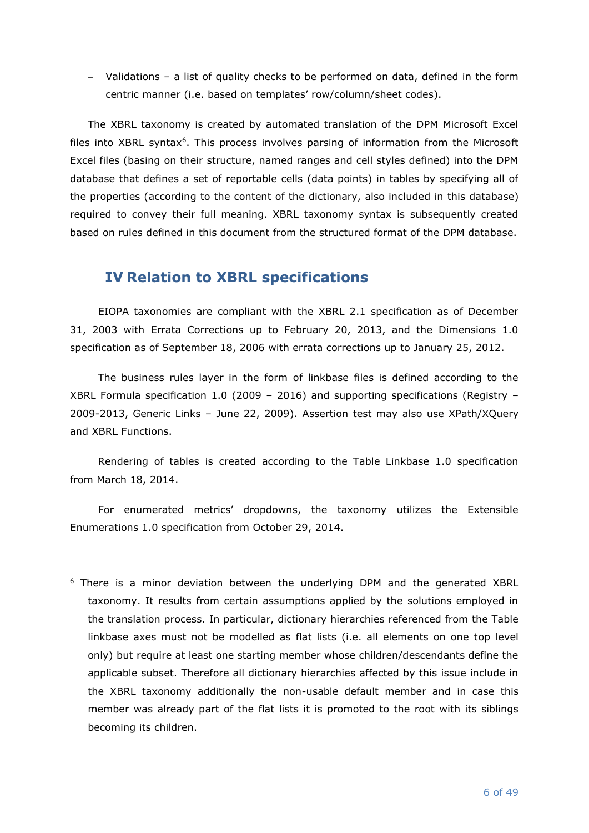– Validations – a list of quality checks to be performed on data, defined in the form centric manner (i.e. based on templates' row/column/sheet codes).

The XBRL taxonomy is created by automated translation of the DPM Microsoft Excel files into XBRL syntax<sup>6</sup>. This process involves parsing of information from the Microsoft Excel files (basing on their structure, named ranges and cell styles defined) into the DPM database that defines a set of reportable cells (data points) in tables by specifying all of the properties (according to the content of the dictionary, also included in this database) required to convey their full meaning. XBRL taxonomy syntax is subsequently created based on rules defined in this document from the structured format of the DPM database.

# <span id="page-5-0"></span>**IV Relation to XBRL specifications**

EIOPA taxonomies are compliant with the XBRL 2.1 specification as of December 31, 2003 with Errata Corrections up to February 20, 2013, and the Dimensions 1.0 specification as of September 18, 2006 with errata corrections up to January 25, 2012.

The business rules layer in the form of linkbase files is defined according to the XBRL Formula specification 1.0 (2009 – 2016) and supporting specifications (Registry – 2009-2013, Generic Links – June 22, 2009). Assertion test may also use XPath/XQuery and XBRL Functions.

Rendering of tables is created according to the Table Linkbase 1.0 specification from March 18, 2014.

For enumerated metrics' dropdowns, the taxonomy utilizes the Extensible Enumerations 1.0 specification from October 29, 2014.

<sup>&</sup>lt;sup>6</sup> There is a minor deviation between the underlying DPM and the generated XBRL taxonomy. It results from certain assumptions applied by the solutions employed in the translation process. In particular, dictionary hierarchies referenced from the Table linkbase axes must not be modelled as flat lists (i.e. all elements on one top level only) but require at least one starting member whose children/descendants define the applicable subset. Therefore all dictionary hierarchies affected by this issue include in the XBRL taxonomy additionally the non-usable default member and in case this member was already part of the flat lists it is promoted to the root with its siblings becoming its children.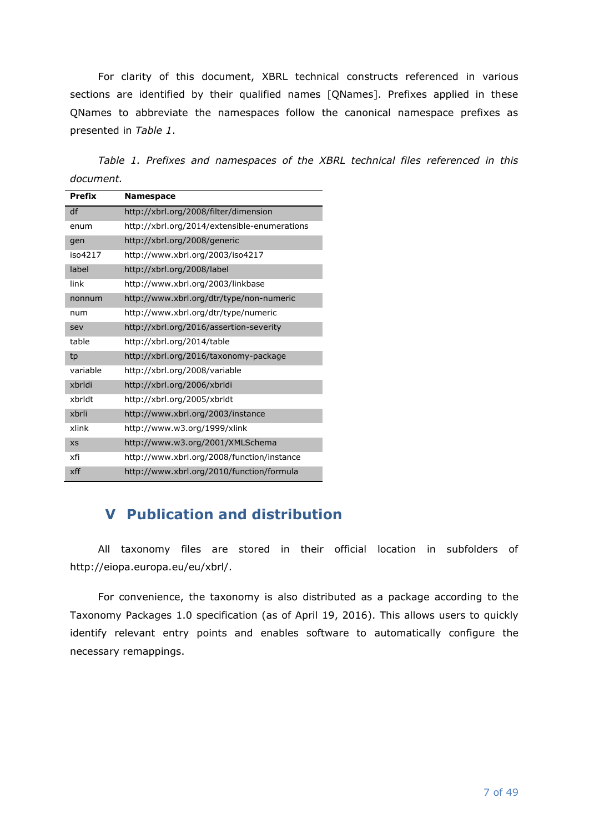For clarity of this document, XBRL technical constructs referenced in various sections are identified by their qualified names [QNames]. Prefixes applied in these QNames to abbreviate the namespaces follow the canonical namespace prefixes as presented in *Table 1*.

*Table 1. Prefixes and namespaces of the XBRL technical files referenced in this document.*

| <b>Prefix</b> | <b>Namespace</b>                             |
|---------------|----------------------------------------------|
| df            | http://xbrl.org/2008/filter/dimension        |
| enum          | http://xbrl.org/2014/extensible-enumerations |
| gen           | http://xbrl.org/2008/generic                 |
| iso4217       | http://www.xbrl.org/2003/iso4217             |
| label         | http://xbrl.org/2008/label                   |
| link          | http://www.xbrl.org/2003/linkbase            |
| nonnum        | http://www.xbrl.org/dtr/type/non-numeric     |
| num           | http://www.xbrl.org/dtr/type/numeric         |
| sev           | http://xbrl.org/2016/assertion-severity      |
| table         | http://xbrl.org/2014/table                   |
| tp            | http://xbrl.org/2016/taxonomy-package        |
| variable      | http://xbrl.org/2008/variable                |
| xbrldi        | http://xbrl.org/2006/xbrldi                  |
| xbrldt        | http://xbrl.org/2005/xbrldt                  |
| xbrli         | http://www.xbrl.org/2003/instance            |
| xlink         | http://www.w3.org/1999/xlink                 |
| <b>XS</b>     | http://www.w3.org/2001/XMLSchema             |
| xfi           | http://www.xbrl.org/2008/function/instance   |
| xff           | http://www.xbrl.org/2010/function/formula    |

# <span id="page-6-0"></span>**V Publication and distribution**

All taxonomy files are stored in their official location in subfolders of http://eiopa.europa.eu/eu/xbrl/.

For convenience, the taxonomy is also distributed as a package according to the Taxonomy Packages 1.0 specification (as of April 19, 2016). This allows users to quickly identify relevant entry points and enables software to automatically configure the necessary remappings.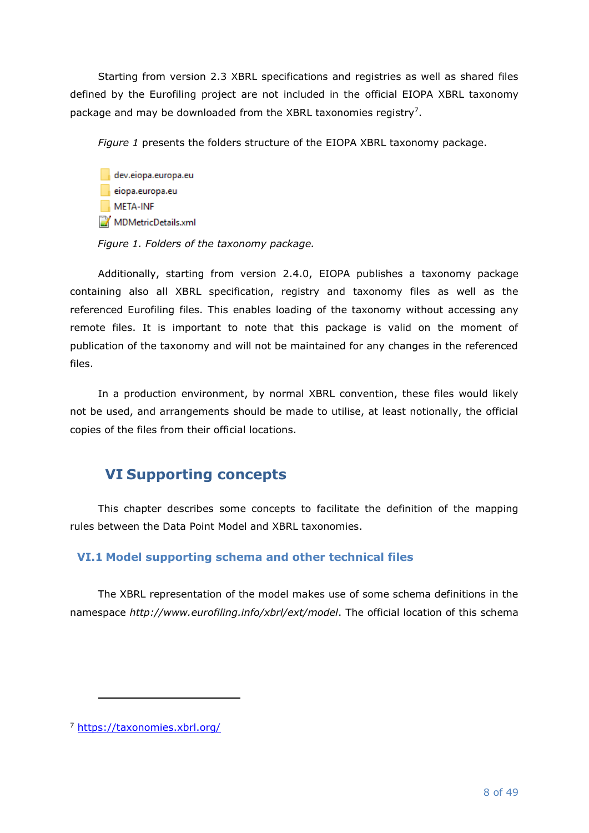Starting from version 2.3 XBRL specifications and registries as well as shared files defined by the Eurofiling project are not included in the official EIOPA XBRL taxonomy package and may be downloaded from the XBRL taxonomies registry<sup>7</sup>.

*[Figure 1](#page-7-2)* presents the folders structure of the EIOPA XBRL taxonomy package.

dev.eiopa.europa.eu eiopa.europa.eu META-INF MDMetricDetails.xml

<span id="page-7-2"></span>*Figure 1. Folders of the taxonomy package.*

Additionally, starting from version 2.4.0, EIOPA publishes a taxonomy package containing also all XBRL specification, registry and taxonomy files as well as the referenced Eurofiling files. This enables loading of the taxonomy without accessing any remote files. It is important to note that this package is valid on the moment of publication of the taxonomy and will not be maintained for any changes in the referenced files.

In a production environment, by normal XBRL convention, these files would likely not be used, and arrangements should be made to utilise, at least notionally, the official copies of the files from their official locations.

# <span id="page-7-0"></span>**VI Supporting concepts**

This chapter describes some concepts to facilitate the definition of the mapping rules between the Data Point Model and XBRL taxonomies.

# <span id="page-7-1"></span>**VI.1 Model supporting schema and other technical files**

The XBRL representation of the model makes use of some schema definitions in the namespace *http://www.eurofiling.info/xbrl/ext/model*. The official location of this schema

<sup>7</sup> <https://taxonomies.xbrl.org/>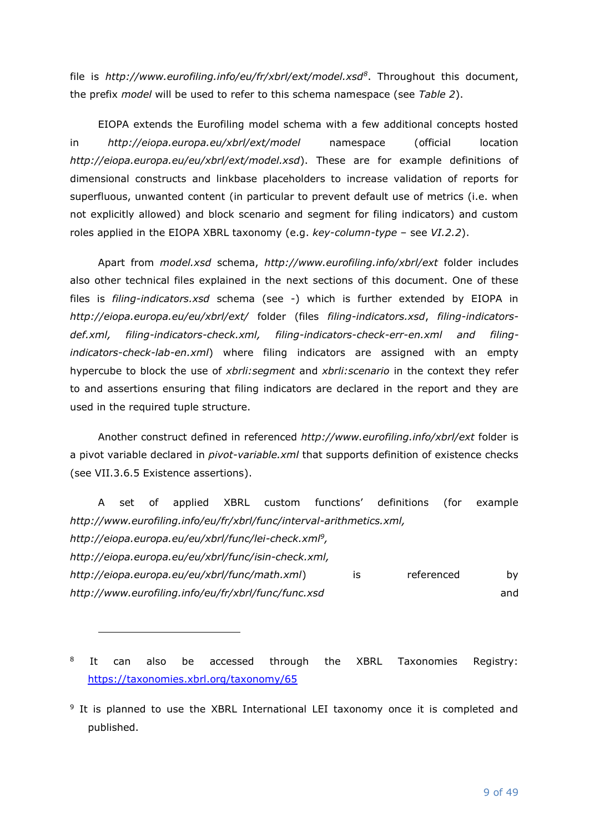file is *http://www.eurofiling.info/eu/fr/xbrl/ext/model.xsd<sup>8</sup>* . Throughout this document, the prefix *model* will be used to refer to this schema namespace (see *Table 2*).

EIOPA extends the Eurofiling model schema with a few additional concepts hosted in *http://eiopa.europa.eu/xbrl/ext/model* namespace (official location *http://eiopa.europa.eu/eu/xbrl/ext/model.xsd*). These are for example definitions of dimensional constructs and linkbase placeholders to increase validation of reports for superfluous, unwanted content (in particular to prevent default use of metrics (i.e. when not explicitly allowed) and block scenario and segment for filing indicators) and custom roles applied in the EIOPA XBRL taxonomy (e.g. *key-column-type* – see *[VI.2.2](#page-10-0)*).

Apart from *model.xsd* schema, *http://www.eurofiling.info/xbrl/ext* folder includes also other technical files explained in the next sections of this document. One of these files is *filing-indicators.xsd* schema (see *[-](#page-31-1)*) which is further extended by EIOPA in *http://eiopa.europa.eu/eu/xbrl/ext/* folder (files *filing-indicators.xsd*, *filing-indicatorsdef.xml, filing-indicators-check.xml, filing-indicators-check-err-en.xml and filingindicators-check-lab-en.xml*) where filing indicators are assigned with an empty hypercube to block the use of *xbrli:segment* and *xbrli:scenario* in the context they refer to and assertions ensuring that filing indicators are declared in the report and they are used in the required tuple structure.

Another construct defined in referenced *http://www.eurofiling.info/xbrl/ext* folder is a pivot variable declared in *pivot-variable.xml* that supports definition of existence checks (see [VII.3.6.5](#page-38-0) [Existence assertions\)](#page-38-0).

A set of applied XBRL custom functions' definitions (for example *http://www.eurofiling.info/eu/fr/xbrl/func/interval-arithmetics.xml, http://eiopa.europa.eu/eu/xbrl/func/lei-check.xml<sup>9</sup> , http://eiopa.europa.eu/eu/xbrl/func/isin-check.xml,* 

*http://eiopa.europa.eu/eu/xbrl/func/math.xml*) is referenced by *http://www.eurofiling.info/eu/fr/xbrl/func/func.xsd* and

8 It can also be accessed through the XBRL Taxonomies Registry: <https://taxonomies.xbrl.org/taxonomy/65>

<sup>&</sup>lt;sup>9</sup> It is planned to use the XBRL International LEI taxonomy once it is completed and published.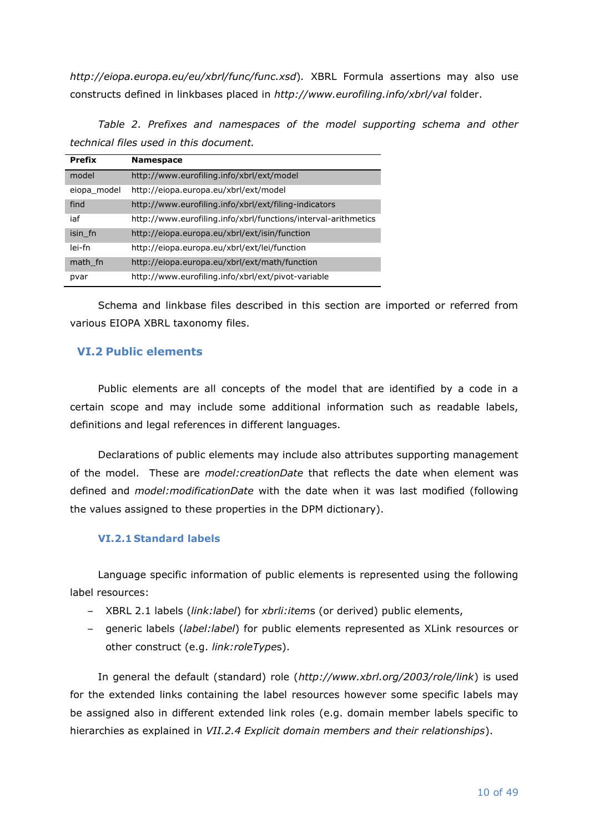*http://eiopa.europa.eu/eu/xbrl/func/func.xsd*)*.* XBRL Formula assertions may also use constructs defined in linkbases placed in *http://www.eurofiling.info/xbrl/val* folder.

<span id="page-9-2"></span>*Table 2. Prefixes and namespaces of the model supporting schema and other technical files used in this document.*

| <b>Prefix</b> | <b>Namespace</b>                                               |
|---------------|----------------------------------------------------------------|
| model         | http://www.eurofiling.info/xbrl/ext/model                      |
| eiopa model   | http://eiopa.europa.eu/xbrl/ext/model                          |
| find          | http://www.eurofiling.info/xbrl/ext/filing-indicators          |
| iaf           | http://www.eurofiling.info/xbrl/functions/interval-arithmetics |
| isin fn       | http://eiopa.europa.eu/xbrl/ext/isin/function                  |
| lei-fn        | http://eiopa.europa.eu/xbrl/ext/lei/function                   |
| math fn       | http://eiopa.europa.eu/xbrl/ext/math/function                  |
| pvar          | http://www.eurofiling.info/xbrl/ext/pivot-variable             |

Schema and linkbase files described in this section are imported or referred from various EIOPA XBRL taxonomy files.

## <span id="page-9-0"></span>**VI.2 Public elements**

Public elements are all concepts of the model that are identified by a code in a certain scope and may include some additional information such as readable labels, definitions and legal references in different languages.

Declarations of public elements may include also attributes supporting management of the model. These are *model:creationDate* that reflects the date when element was defined and *model:modificationDate* with the date when it was last modified (following the values assigned to these properties in the DPM dictionary).

## <span id="page-9-1"></span>**VI.2.1 Standard labels**

Language specific information of public elements is represented using the following label resources:

- XBRL 2.1 labels (*link:label*) for *xbrli:item*s (or derived) public elements,
- generic labels (*label:label*) for public elements represented as XLink resources or other construct (e.g. *link:roleType*s).

In general the default (standard) role (*http://www.xbrl.org/2003/role/link*) is used for the extended links containing the label resources however some specific labels may be assigned also in different extended link roles (e.g. domain member labels specific to hierarchies as explained in *[VII.2.4](#page-18-0) [Explicit domain members and their relationships](#page-18-0)*).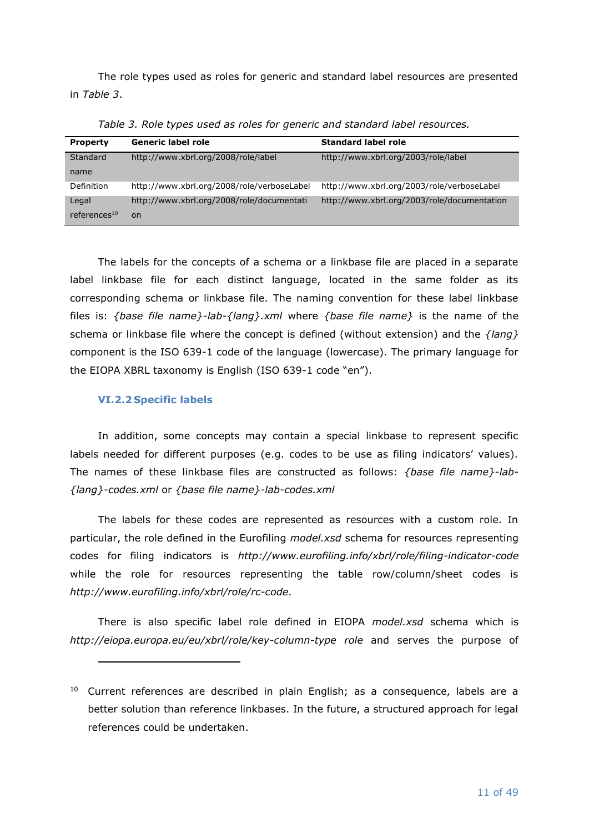The role types used as roles for generic and standard label resources are presented in *[Table 3](#page-10-1)*.

<span id="page-10-1"></span>

| <b>Property</b>          | <b>Generic label role</b>                  | <b>Standard label role</b>                  |
|--------------------------|--------------------------------------------|---------------------------------------------|
| Standard                 | http://www.xbrl.org/2008/role/label        | http://www.xbrl.org/2003/role/label         |
| name                     |                                            |                                             |
| Definition               | http://www.xbrl.org/2008/role/verboseLabel | http://www.xbrl.org/2003/role/verboseLabel  |
| Legal                    | http://www.xbrl.org/2008/role/documentati  | http://www.xbrl.org/2003/role/documentation |
| references <sup>10</sup> | <sub>on</sub>                              |                                             |

*Table 3. Role types used as roles for generic and standard label resources.*

The labels for the concepts of a schema or a linkbase file are placed in a separate label linkbase file for each distinct language, located in the same folder as its corresponding schema or linkbase file. The naming convention for these label linkbase files is: *{base file name}-lab-{lang}.xml* where *{base file name}* is the name of the schema or linkbase file where the concept is defined (without extension) and the *{lang}* component is the ISO 639-1 code of the language (lowercase). The primary language for the EIOPA XBRL taxonomy is English (ISO 639-1 code "en").

# <span id="page-10-0"></span>**VI.2.2 Specific labels**

In addition, some concepts may contain a special linkbase to represent specific labels needed for different purposes (e.g. codes to be use as filing indicators' values). The names of these linkbase files are constructed as follows: *{base file name}-lab- {lang}-codes.xml* or *{base file name}-lab-codes.xml*

The labels for these codes are represented as resources with a custom role. In particular, the role defined in the Eurofiling *model.xsd* schema for resources representing codes for filing indicators is *http://www.eurofiling.info/xbrl/role/filing-indicator-code* while the role for resources representing the table row/column/sheet codes is *http://www.eurofiling.info/xbrl/role/rc-code*.

There is also specific label role defined in EIOPA *model.xsd* schema which is *http://eiopa.europa.eu/eu/xbrl/role/key-column-type role* and serves the purpose of

 $10$  Current references are described in plain English; as a consequence, labels are a better solution than reference linkbases. In the future, a structured approach for legal references could be undertaken.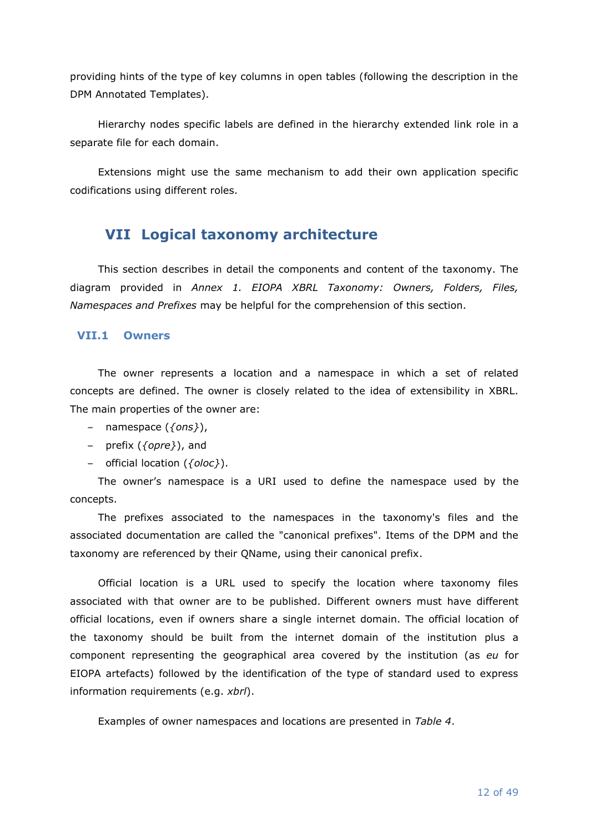providing hints of the type of key columns in open tables (following the description in the DPM Annotated Templates).

Hierarchy nodes specific labels are defined in the hierarchy extended link role in a separate file for each domain.

Extensions might use the same mechanism to add their own application specific codifications using different roles.

# <span id="page-11-0"></span>**VII Logical taxonomy architecture**

This section describes in detail the components and content of the taxonomy. The diagram provided in *Annex [1. EIOPA XBRL Taxonomy: Owners, Folders, Files,](#page-44-0)  [Namespaces and Prefixes](#page-44-0)* may be helpful for the comprehension of this section.

### <span id="page-11-1"></span>**VII.1 Owners**

The owner represents a location and a namespace in which a set of related concepts are defined. The owner is closely related to the idea of extensibility in XBRL. The main properties of the owner are:

- namespace (*{ons}*),
- prefix (*{opre}*), and
- official location (*{oloc}*).

The owner's namespace is a URI used to define the namespace used by the concepts.

The prefixes associated to the namespaces in the taxonomy's files and the associated documentation are called the "canonical prefixes". Items of the DPM and the taxonomy are referenced by their QName, using their canonical prefix.

Official location is a URL used to specify the location where taxonomy files associated with that owner are to be published. Different owners must have different official locations, even if owners share a single internet domain. The official location of the taxonomy should be built from the internet domain of the institution plus a component representing the geographical area covered by the institution (as *eu* for EIOPA artefacts) followed by the identification of the type of standard used to express information requirements (e.g. *xbrl*).

Examples of owner namespaces and locations are presented in *[Table 4](#page-12-1)*.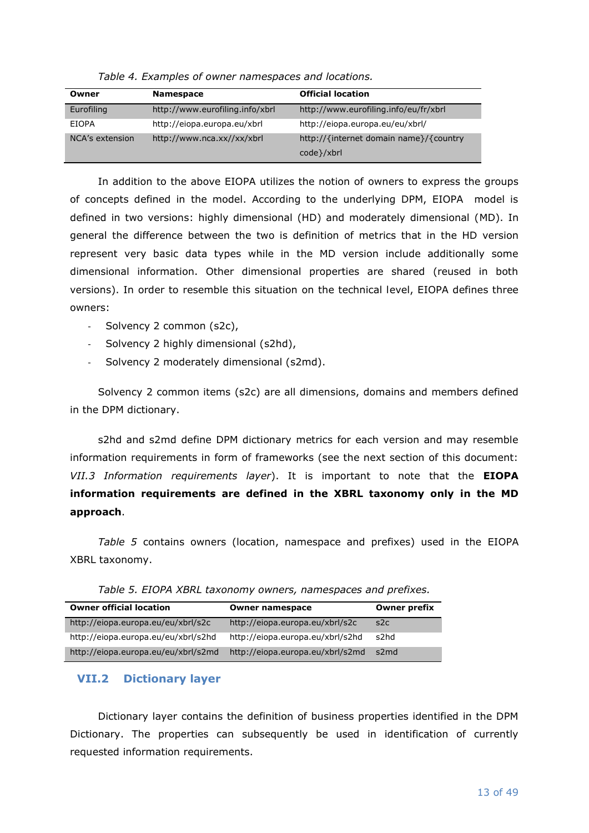<span id="page-12-1"></span>

| Owner           | <b>Namespace</b>                | <b>Official location</b>               |
|-----------------|---------------------------------|----------------------------------------|
| Eurofiling      | http://www.eurofiling.info/xbrl | http://www.eurofiling.info/eu/fr/xbrl  |
| <b>EIOPA</b>    | http://eiopa.europa.eu/xbrl     | http://eiopa.europa.eu/eu/xbrl/        |
| NCA's extension | http://www.nca.xx//xx/xbrl      | http://{internet domain name}/{country |
|                 |                                 | code }/xbrl                            |

*Table 4. Examples of owner namespaces and locations.*

In addition to the above EIOPA utilizes the notion of owners to express the groups of concepts defined in the model. According to the underlying DPM, EIOPA model is defined in two versions: highly dimensional (HD) and moderately dimensional (MD). In general the difference between the two is definition of metrics that in the HD version represent very basic data types while in the MD version include additionally some dimensional information. Other dimensional properties are shared (reused in both versions). In order to resemble this situation on the technical level, EIOPA defines three owners:

- Solvency 2 common (s2c),
- Solvency 2 highly dimensional (s2hd),
- Solvency 2 moderately dimensional (s2md).

Solvency 2 common items (s2c) are all dimensions, domains and members defined in the DPM dictionary.

s2hd and s2md define DPM dictionary metrics for each version and may resemble information requirements in form of frameworks (see the next section of this document: *[VII.3](#page-23-0) [Information requirements layer](#page-23-0)*). It is important to note that the **EIOPA information requirements are defined in the XBRL taxonomy only in the MD approach**.

*[Table 5](#page-12-2)* contains owners (location, namespace and prefixes) used in the EIOPA XBRL taxonomy.

<span id="page-12-2"></span>

| <b>Owner official location</b>      | <b>Owner namespace</b>           | <b>Owner prefix</b> |
|-------------------------------------|----------------------------------|---------------------|
| http://eiopa.europa.eu/eu/xbrl/s2c  | http://eiopa.europa.eu/xbrl/s2c  | s2c                 |
| http://eiopa.europa.eu/eu/xbrl/s2hd | http://eiopa.europa.eu/xbrl/s2hd | s2hd                |
| http://eiopa.europa.eu/eu/xbrl/s2md | http://eiopa.europa.eu/xbrl/s2md | s2md                |

*Table 5. EIOPA XBRL taxonomy owners, namespaces and prefixes.*

## <span id="page-12-0"></span>**VII.2 Dictionary layer**

Dictionary layer contains the definition of business properties identified in the DPM Dictionary. The properties can subsequently be used in identification of currently requested information requirements.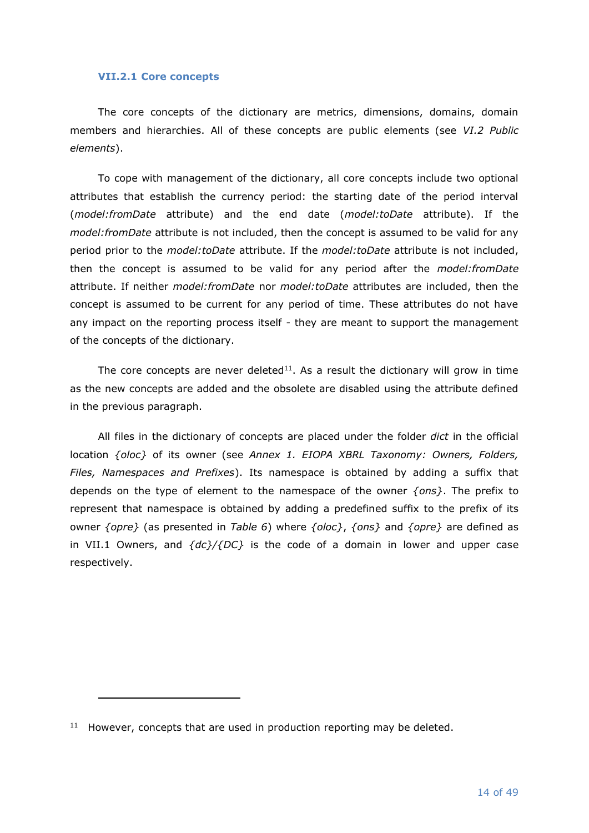#### <span id="page-13-0"></span>**VII.2.1 Core concepts**

The core concepts of the dictionary are metrics, dimensions, domains, domain members and hierarchies. All of these concepts are public elements (see *[VI.2](#page-9-0) [Public](#page-9-0)  [elements](#page-9-0)*).

To cope with management of the dictionary, all core concepts include two optional attributes that establish the currency period: the starting date of the period interval (*model:fromDate* attribute) and the end date (*model:toDate* attribute). If the *model:fromDate* attribute is not included, then the concept is assumed to be valid for any period prior to the *model:toDate* attribute. If the *model:toDate* attribute is not included, then the concept is assumed to be valid for any period after the *model:fromDate* attribute. If neither *model:fromDate* nor *model:toDate* attributes are included, then the concept is assumed to be current for any period of time. These attributes do not have any impact on the reporting process itself - they are meant to support the management of the concepts of the dictionary.

The core concepts are never deleted<sup>11</sup>. As a result the dictionary will grow in time as the new concepts are added and the obsolete are disabled using the attribute defined in the previous paragraph.

All files in the dictionary of concepts are placed under the folder *dict* in the official location *{oloc}* of its owner (see *Annex [1. EIOPA XBRL Taxonomy: Owners, Folders,](#page-44-0)  [Files, Namespaces and Prefixes](#page-44-0)*). Its namespace is obtained by adding a suffix that depends on the type of element to the namespace of the owner *{ons}*. The prefix to represent that namespace is obtained by adding a predefined suffix to the prefix of its owner *{opre}* (as presented in *[Table 6](#page-14-1)*) where *{oloc}*, *{ons}* and *{opre}* are defined as in [VII.1](#page-11-1) [Owners,](#page-11-1) and *{dc}/{DC}* is the code of a domain in lower and upper case respectively.

 $11$  However, concepts that are used in production reporting may be deleted.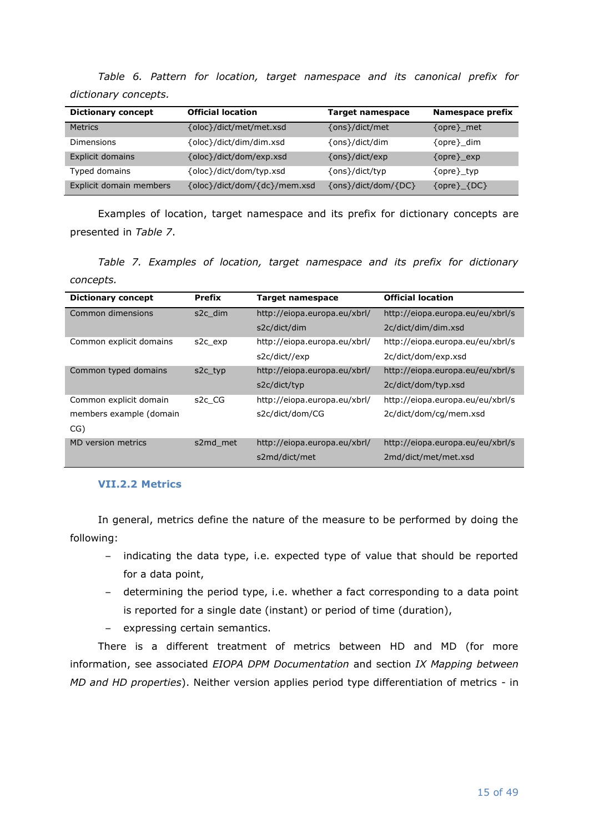<span id="page-14-1"></span>*Table 6. Pattern for location, target namespace and its canonical prefix for dictionary concepts.*

| <b>Dictionary concept</b> | <b>Official location</b>     | <b>Target namespace</b> | Namespace prefix    |
|---------------------------|------------------------------|-------------------------|---------------------|
| <b>Metrics</b>            | {oloc}/dict/met/met.xsd      | {ons}/dict/met          | {opre} met          |
| Dimensions                | {oloc}/dict/dim/dim.xsd      | {ons}/dict/dim          | {opre}_dim          |
| <b>Explicit domains</b>   | {oloc}/dict/dom/exp.xsd      | {ons}/dict/exp          | $\{opre\}$ exp      |
| Typed domains             | {oloc}/dict/dom/typ.xsd      | {ons}/dict/typ          | {opre} typ          |
| Explicit domain members   | {oloc}/dict/dom/{dc}/mem.xsd | {ons}/dict/dom/{DC}     | $\{opte\}$ $\{DC\}$ |

Examples of location, target namespace and its prefix for dictionary concepts are presented in *[Table 7](#page-14-2)*.

<span id="page-14-2"></span>*Table 7. Examples of location, target namespace and its prefix for dictionary concepts.*

| <b>Dictionary concept</b> | <b>Prefix</b>       | <b>Target namespace</b>      | <b>Official location</b>         |
|---------------------------|---------------------|------------------------------|----------------------------------|
| Common dimensions         | s2c dim             | http://eiopa.europa.eu/xbrl/ | http://eiopa.europa.eu/eu/xbrl/s |
|                           |                     | s2c/dict/dim                 | 2c/dict/dim/dim.xsd              |
| Common explicit domains   | s2c exp             | http://eiopa.europa.eu/xbrl/ | http://eiopa.europa.eu/eu/xbrl/s |
|                           |                     | s2c/dict//exp                | 2c/dict/dom/exp.xsd              |
| Common typed domains      | s2c typ             | http://eiopa.europa.eu/xbrl/ | http://eiopa.europa.eu/eu/xbrl/s |
|                           |                     | s2c/dict/typ                 | 2c/dict/dom/typ.xsd              |
| Common explicit domain    | s <sub>2</sub> c CG | http://eiopa.europa.eu/xbrl/ | http://eiopa.europa.eu/eu/xbrl/s |
| members example (domain   |                     | s2c/dict/dom/CG              | 2c/dict/dom/cg/mem.xsd           |
| CG)                       |                     |                              |                                  |
| <b>MD</b> version metrics | s2md met            | http://eiopa.europa.eu/xbrl/ | http://eiopa.europa.eu/eu/xbrl/s |
|                           |                     | s2md/dict/met                | 2md/dict/met/met.xsd             |

#### <span id="page-14-0"></span>**VII.2.2 Metrics**

In general, metrics define the nature of the measure to be performed by doing the following:

- indicating the data type, i.e. expected type of value that should be reported for a data point,
- determining the period type, i.e. whether a fact corresponding to a data point is reported for a single date (instant) or period of time (duration),
- expressing certain semantics.

There is a different treatment of metrics between HD and MD (for more information, see associated *EIOPA DPM Documentation* and section *[IX](#page-42-1) [Mapping between](#page-42-1)  [MD and HD properties](#page-42-1)*). Neither version applies period type differentiation of metrics - in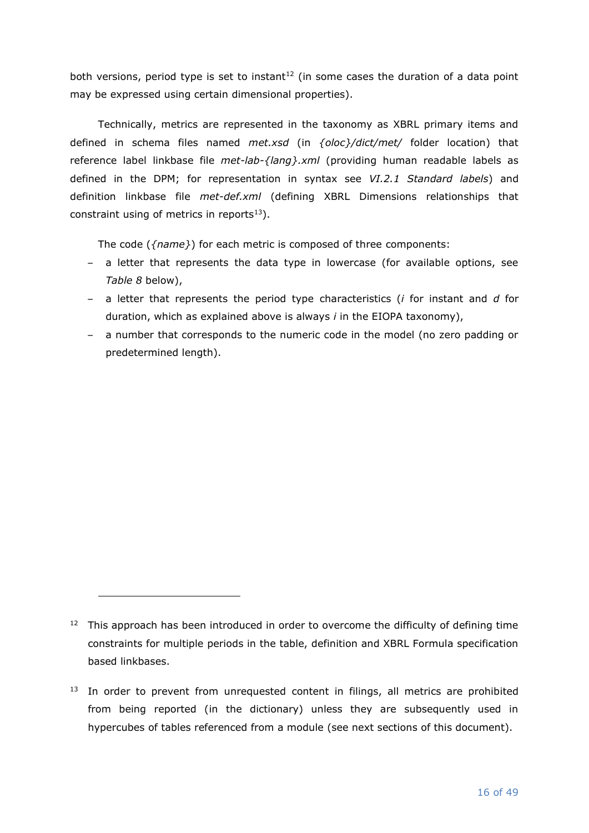both versions, period type is set to instant<sup>12</sup> (in some cases the duration of a data point may be expressed using certain dimensional properties).

Technically, metrics are represented in the taxonomy as XBRL primary items and defined in schema files named *met.xsd* (in *{oloc}/dict/met/* folder location) that reference label linkbase file *met-lab-{lang}.xml* (providing human readable labels as defined in the DPM; for representation in syntax see *[VI.2.1](#page-9-1) [Standard labels](#page-9-1)*) and definition linkbase file *met-def.xml* (defining XBRL Dimensions relationships that constraint using of metrics in reports $13$ ).

The code (*{name}*) for each metric is composed of three components:

- a letter that represents the data type in lowercase (for available options, see *[Table 8](#page-16-0)* below),
- a letter that represents the period type characteristics (*i* for instant and *d* for duration, which as explained above is always *i* in the EIOPA taxonomy),
- a number that corresponds to the numeric code in the model (no zero padding or predetermined length).

 $12$  This approach has been introduced in order to overcome the difficulty of defining time constraints for multiple periods in the table, definition and XBRL Formula specification based linkbases.

<sup>&</sup>lt;sup>13</sup> In order to prevent from unrequested content in filings, all metrics are prohibited from being reported (in the dictionary) unless they are subsequently used in hypercubes of tables referenced from a module (see next sections of this document).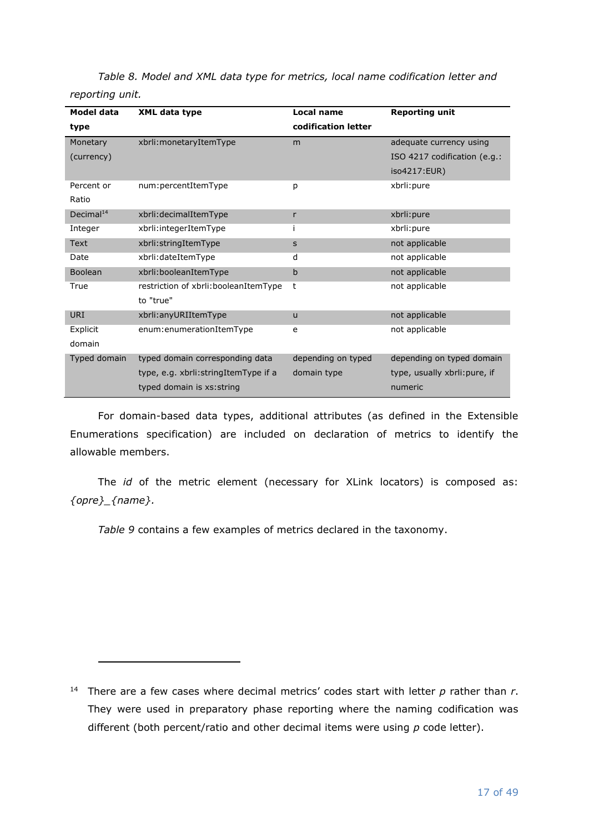| Model data            | <b>XML data type</b>                  | Local name          | <b>Reporting unit</b>         |
|-----------------------|---------------------------------------|---------------------|-------------------------------|
| type                  |                                       | codification letter |                               |
| Monetary              | xbrli: monetaryItemType               | m                   | adequate currency using       |
| (currency)            |                                       |                     | ISO 4217 codification (e.g.:  |
|                       |                                       |                     | iso4217:EUR)                  |
| Percent or            | num:percentItemType                   | р                   | xbrli: pure                   |
| Ratio                 |                                       |                     |                               |
| Decimal <sup>14</sup> | xbrli:decimalItemType                 | r                   | xbrli: pure                   |
| Integer               | xbrli:integerItemType                 | i                   | xbrli: pure                   |
| <b>Text</b>           | xbrli:stringItemType                  | S                   | not applicable                |
| Date                  | xbrli:dateItemType                    | d                   | not applicable                |
| <b>Boolean</b>        | xbrli:booleanItemType                 | b                   | not applicable                |
| True                  | restriction of xbrli:booleanItemType  | t                   | not applicable                |
|                       | to "true"                             |                     |                               |
| URI                   | xbrli:anyURIItemType                  | $\mathsf{u}$        | not applicable                |
| Explicit              | enum:enumerationItemType              | e                   | not applicable                |
| domain                |                                       |                     |                               |
| Typed domain          | typed domain corresponding data       | depending on typed  | depending on typed domain     |
|                       | type, e.g. xbrli: stringItemType if a | domain type         | type, usually xbrli: pure, if |
|                       | typed domain is xs: string            |                     | numeric                       |

<span id="page-16-0"></span>*Table 8. Model and XML data type for metrics, local name codification letter and reporting unit.*

For domain-based data types, additional attributes (as defined in the Extensible Enumerations specification) are included on declaration of metrics to identify the allowable members.

The *id* of the metric element (necessary for XLink locators) is composed as: *{opre}\_{name}.*

*[Table 9](#page-17-1)* contains a few examples of metrics declared in the taxonomy.

<sup>&</sup>lt;sup>14</sup> There are a few cases where decimal metrics' codes start with letter  $p$  rather than  $r$ . They were used in preparatory phase reporting where the naming codification was different (both percent/ratio and other decimal items were using *p* code letter).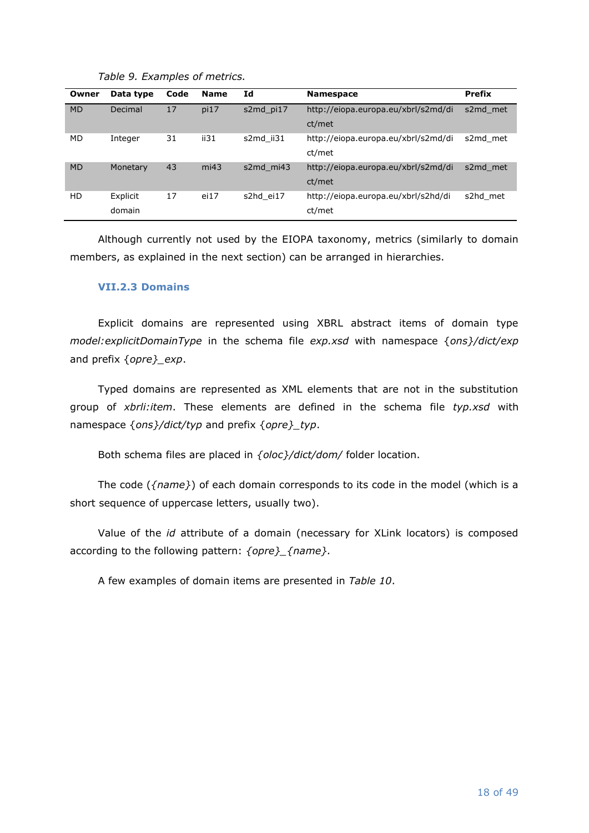<span id="page-17-1"></span>

| Owner     | Data type | Code | <b>Name</b> | Id        | <b>Namespace</b>                    | <b>Prefix</b> |
|-----------|-----------|------|-------------|-----------|-------------------------------------|---------------|
| <b>MD</b> | Decimal   | 17   | pi17        | s2md pi17 | http://eiopa.europa.eu/xbrl/s2md/di | s2md met      |
|           |           |      |             |           | ct/met                              |               |
| MD        | Integer   | 31   | ii31        | s2md ii31 | http://eiopa.europa.eu/xbrl/s2md/di | s2md met      |
|           |           |      |             |           | ct/met                              |               |
| <b>MD</b> | Monetary  | 43   | mi43        | s2md mi43 | http://eiopa.europa.eu/xbrl/s2md/di | s2md met      |
|           |           |      |             |           | ct/met                              |               |
| HD        | Explicit  | 17   | ei17        | s2hd ei17 | http://eiopa.europa.eu/xbrl/s2hd/di | s2hd_met      |
|           | domain    |      |             |           | ct/met                              |               |

*Table 9. Examples of metrics.*

Although currently not used by the EIOPA taxonomy, metrics (similarly to domain members, as explained in the next section) can be arranged in hierarchies.

### <span id="page-17-0"></span>**VII.2.3 Domains**

Explicit domains are represented using XBRL abstract items of domain type *model:explicitDomainType* in the schema file *exp.xsd* with namespace {*ons}/dict/exp* and prefix {*opre}\_exp*.

Typed domains are represented as XML elements that are not in the substitution group of *xbrli:item*. These elements are defined in the schema file *typ.xsd* with namespace {*ons}/dict/typ* and prefix {*opre}\_typ*.

Both schema files are placed in *{oloc}/dict/dom/* folder location.

The code (*{name}*) of each domain corresponds to its code in the model (which is a short sequence of uppercase letters, usually two).

Value of the *id* attribute of a domain (necessary for XLink locators) is composed according to the following pattern: *{opre}\_{name}.*

A few examples of domain items are presented in *[Table 10](#page-18-1)*.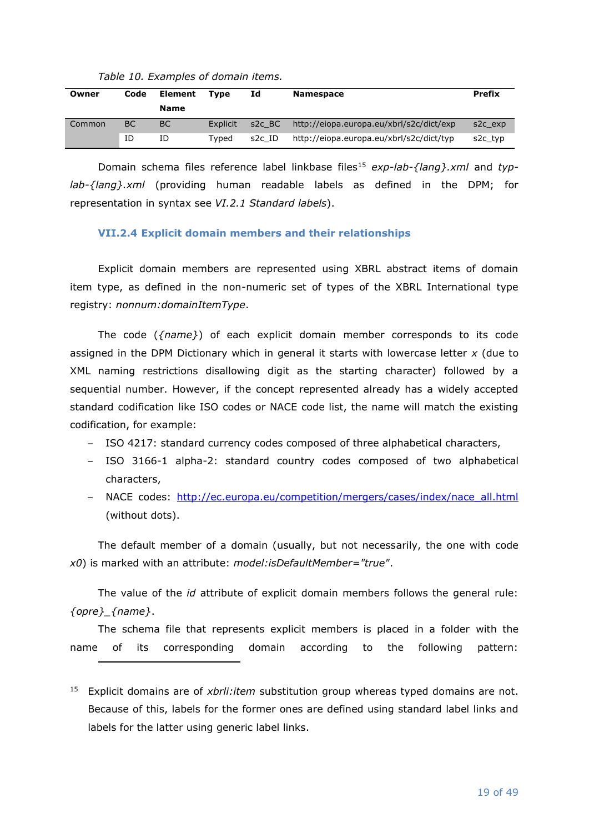<span id="page-18-1"></span>

| Owner  | Code | Element<br><b>Name</b> | <b>Type</b> | Id       | <b>Namespace</b>                         | <b>Prefix</b>        |
|--------|------|------------------------|-------------|----------|------------------------------------------|----------------------|
| Common | ВC   | <b>BC</b>              | Explicit    | $S2C$ BC | http://eiopa.europa.eu/xbrl/s2c/dict/exp | s <sub>2</sub> c exp |
|        | ΙD   | ID                     | Tvped       | s2c ID   | http://eiopa.europa.eu/xbrl/s2c/dict/typ | s <sub>2</sub> c typ |

*Table 10. Examples of domain items.*

Domain schema files reference label linkbase files<sup>15</sup> exp-lab-{lang}.xml and typ*lab-{lang}.xml* (providing human readable labels as defined in the DPM; for representation in syntax see *[VI.2.1](#page-9-1) [Standard labels](#page-9-1)*).

### <span id="page-18-0"></span>**VII.2.4 Explicit domain members and their relationships**

Explicit domain members are represented using XBRL abstract items of domain item type, as defined in the non-numeric set of types of the XBRL International type registry: *nonnum:domainItemType*.

The code (*{name}*) of each explicit domain member corresponds to its code assigned in the DPM Dictionary which in general it starts with lowercase letter *x* (due to XML naming restrictions disallowing digit as the starting character) followed by a sequential number. However, if the concept represented already has a widely accepted standard codification like ISO codes or NACE code list, the name will match the existing codification, for example:

- ISO 4217: standard currency codes composed of three alphabetical characters,
- ISO 3166-1 alpha-2: standard country codes composed of two alphabetical characters,
- NACE codes: [http://ec.europa.eu/competition/mergers/cases/index/nace\\_all.html](http://ec.europa.eu/competition/mergers/cases/index/nace_all.html) (without dots).

The default member of a domain (usually, but not necessarily, the one with code *x0*) is marked with an attribute: *model:isDefaultMember="true"*.

The value of the *id* attribute of explicit domain members follows the general rule: *{opre}\_{name}*.

The schema file that represents explicit members is placed in a folder with the name of its corresponding domain according to the following pattern:

<sup>&</sup>lt;sup>15</sup> Explicit domains are of *xbrli:item* substitution group whereas typed domains are not. Because of this, labels for the former ones are defined using standard label links and labels for the latter using generic label links.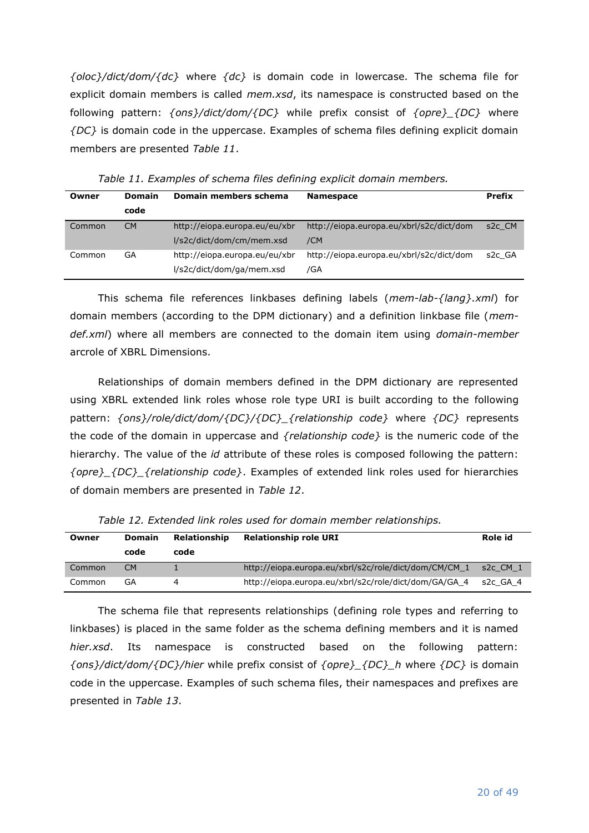*{oloc}/dict/dom/{dc}* where *{dc}* is domain code in lowercase. The schema file for explicit domain members is called *mem.xsd*, its namespace is constructed based on the following pattern: *{ons}/dict/dom/{DC}* while prefix consist of *{opre}\_{DC}* where *{DC}* is domain code in the uppercase. Examples of schema files defining explicit domain members are presented *[Table 11](#page-19-0)*.

<span id="page-19-0"></span>

| Owner  | <b>Domain</b> | Domain members schema                                      | <b>Namespace</b>                                | <b>Prefix</b>       |
|--------|---------------|------------------------------------------------------------|-------------------------------------------------|---------------------|
|        | code          |                                                            |                                                 |                     |
| Common | <b>CM</b>     | http://eiopa.europa.eu/eu/xbr<br>l/s2c/dict/dom/cm/mem.xsd | http://eiopa.europa.eu/xbrl/s2c/dict/dom<br>/CM | s <sub>2</sub> c CM |
| Common | GA            | http://eiopa.europa.eu/eu/xbr<br>l/s2c/dict/dom/ga/mem.xsd | http://eiopa.europa.eu/xbrl/s2c/dict/dom<br>/GA | s <sub>2</sub> c GA |

*Table 11. Examples of schema files defining explicit domain members.*

This schema file references linkbases defining labels (*mem-lab-{lang}.xml*) for domain members (according to the DPM dictionary) and a definition linkbase file (*memdef.xml*) where all members are connected to the domain item using *domain-member* arcrole of XBRL Dimensions.

Relationships of domain members defined in the DPM dictionary are represented using XBRL extended link roles whose role type URI is built according to the following pattern: *{ons}/role/dict/dom/{DC}/{DC}\_{relationship code}* where *{DC}* represents the code of the domain in uppercase and *{relationship code}* is the numeric code of the hierarchy. The value of the *id* attribute of these roles is composed following the pattern: *{opre}\_{DC}\_{relationship code}*. Examples of extended link roles used for hierarchies of domain members are presented in *[Table 12](#page-19-1)*.

<span id="page-19-1"></span>

| Owner  | <b>Domain</b> | <b>Relationship</b> | <b>Relationship role URI</b>                          | Role id      |
|--------|---------------|---------------------|-------------------------------------------------------|--------------|
|        | code          | code                |                                                       |              |
| Common | CM.           |                     | http://eiopa.europa.eu/xbrl/s2c/role/dict/dom/CM/CM 1 | $s2c$ CM $1$ |
| Common | GA            |                     | http://eiopa.europa.eu/xbrl/s2c/role/dict/dom/GA/GA 4 | s2c GA 4     |

*Table 12. Extended link roles used for domain member relationships.*

The schema file that represents relationships (defining role types and referring to linkbases) is placed in the same folder as the schema defining members and it is named *hier.xsd*. Its namespace is constructed based on the following pattern: *{ons}/dict/dom/{DC}/hier* while prefix consist of *{opre}\_{DC}\_h* where *{DC}* is domain code in the uppercase. Examples of such schema files, their namespaces and prefixes are presented in *[Table 13](#page-20-0)*.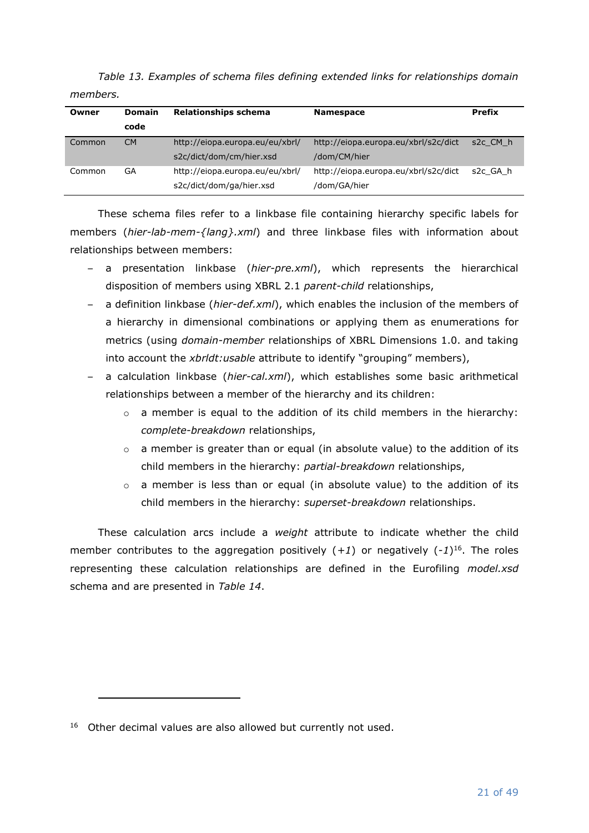| Owner  | <b>Domain</b> | <b>Relationships schema</b>     | <b>Namespace</b>                     | <b>Prefix</b> |
|--------|---------------|---------------------------------|--------------------------------------|---------------|
|        | code          |                                 |                                      |               |
| Common | <b>CM</b>     | http://eiopa.europa.eu/eu/xbrl/ | http://eiopa.europa.eu/xbrl/s2c/dict | s2c CM h      |
|        |               | s2c/dict/dom/cm/hier.xsd        | /dom/CM/hier                         |               |
| Common | GA            | http://eiopa.europa.eu/eu/xbrl/ | http://eiopa.europa.eu/xbrl/s2c/dict | s2c GA h      |
|        |               | s2c/dict/dom/ga/hier.xsd        | /dom/GA/hier                         |               |

<span id="page-20-0"></span>*Table 13. Examples of schema files defining extended links for relationships domain members.*

These schema files refer to a linkbase file containing hierarchy specific labels for members (*hier-lab-mem-{lang}.xml*) and three linkbase files with information about relationships between members:

- a presentation linkbase (*hier-pre.xml*), which represents the hierarchical disposition of members using XBRL 2.1 *parent-child* relationships,
- a definition linkbase (*hier-def.xml*), which enables the inclusion of the members of a hierarchy in dimensional combinations or applying them as enumerations for metrics (using *domain-member* relationships of XBRL Dimensions 1.0. and taking into account the *xbrldt:usable* attribute to identify "grouping" members),
- a calculation linkbase (*hier-cal.xml*), which establishes some basic arithmetical relationships between a member of the hierarchy and its children:
	- $\circ$  a member is equal to the addition of its child members in the hierarchy: *complete-breakdown* relationships,
	- o a member is greater than or equal (in absolute value) to the addition of its child members in the hierarchy: *partial-breakdown* relationships,
	- $\circ$  a member is less than or equal (in absolute value) to the addition of its child members in the hierarchy: *superset-breakdown* relationships.

These calculation arcs include a *weight* attribute to indicate whether the child member contributes to the aggregation positively  $(+1)$  or negatively  $(-1)^{16}$ . The roles representing these calculation relationships are defined in the Eurofiling *model.xsd* schema and are presented in *[Table 14](#page-21-1)*.

 $16$  Other decimal values are also allowed but currently not used.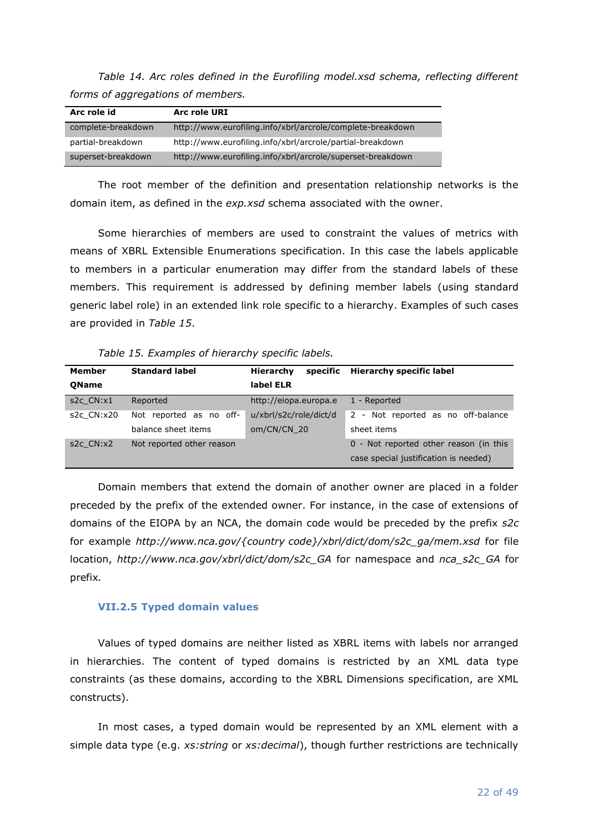<span id="page-21-1"></span>*Table 14. Arc roles defined in the Eurofiling model.xsd schema, reflecting different forms of aggregations of members.*

| Arc role id        | <b>Arc role URI</b>                                        |
|--------------------|------------------------------------------------------------|
| complete-breakdown | http://www.eurofiling.info/xbrl/arcrole/complete-breakdown |
| partial-breakdown  | http://www.eurofiling.info/xbrl/arcrole/partial-breakdown  |
| superset-breakdown | http://www.eurofiling.info/xbrl/arcrole/superset-breakdown |

The root member of the definition and presentation relationship networks is the domain item, as defined in the *exp.xsd* schema associated with the owner.

Some hierarchies of members are used to constraint the values of metrics with means of XBRL Extensible Enumerations specification. In this case the labels applicable to members in a particular enumeration may differ from the standard labels of these members. This requirement is addressed by defining member labels (using standard generic label role) in an extended link role specific to a hierarchy. Examples of such cases are provided in *[Table 15](#page-21-2)*.

*Table 15. Examples of hierarchy specific labels.*

<span id="page-21-2"></span>

| Member       | <b>Standard label</b>     | Hierarchy<br>specific  | <b>Hierarchy specific label</b>        |
|--------------|---------------------------|------------------------|----------------------------------------|
| <b>OName</b> |                           | label ELR              |                                        |
| s2c CN:x1    | Reported                  | http://eiopa.europa.e  | 1 - Reported                           |
| s2c CN:x20   | Not reported as no off-   | u/xbrl/s2c/role/dict/d | 2 - Not reported as no off-balance     |
|              | balance sheet items       | om/CN/CN 20            | sheet items                            |
| s2c CN:x2    | Not reported other reason |                        | 0 - Not reported other reason (in this |
|              |                           |                        | case special justification is needed)  |

Domain members that extend the domain of another owner are placed in a folder preceded by the prefix of the extended owner. For instance, in the case of extensions of domains of the EIOPA by an NCA, the domain code would be preceded by the prefix *s2c* for example *http://www.nca.gov/{country code}/xbrl/dict/dom/s2c\_ga/mem.xsd* for file location, *http://www.nca.gov/xbrl/dict/dom/s2c\_GA* for namespace and *nca\_s2c\_GA* for prefix*.*

## <span id="page-21-0"></span>**VII.2.5 Typed domain values**

Values of typed domains are neither listed as XBRL items with labels nor arranged in hierarchies. The content of typed domains is restricted by an XML data type constraints (as these domains, according to the XBRL Dimensions specification, are XML constructs).

In most cases, a typed domain would be represented by an XML element with a simple data type (e.g. *xs:string* or *xs:decimal*), though further restrictions are technically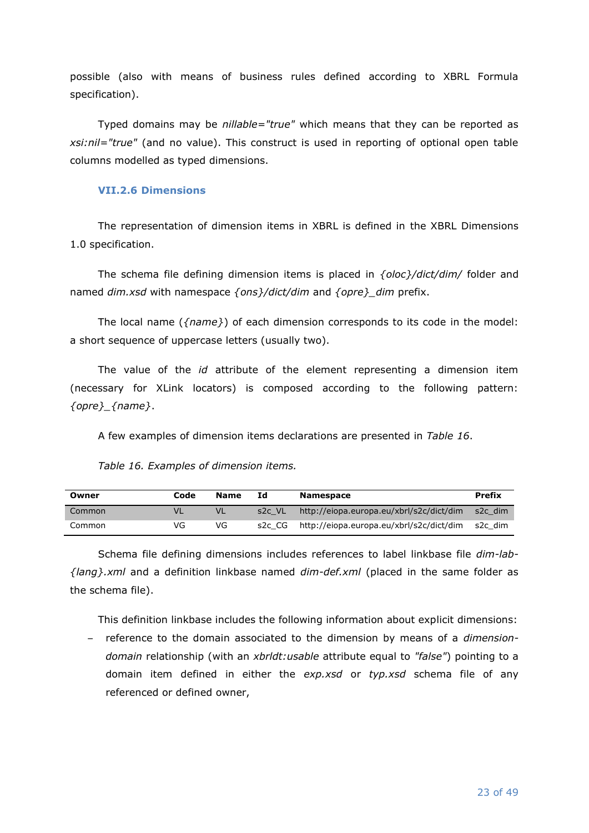possible (also with means of business rules defined according to XBRL Formula specification).

Typed domains may be *nillable="true"* which means that they can be reported as *xsi:nil="true"* (and no value). This construct is used in reporting of optional open table columns modelled as typed dimensions.

### <span id="page-22-0"></span>**VII.2.6 Dimensions**

The representation of dimension items in XBRL is defined in the XBRL Dimensions 1.0 specification.

The schema file defining dimension items is placed in *{oloc}/dict/dim/* folder and named *dim.xsd* with namespace *{ons}/dict/dim* and *{opre}\_dim* prefix.

The local name (*{name}*) of each dimension corresponds to its code in the model: a short sequence of uppercase letters (usually two).

The value of the *id* attribute of the element representing a dimension item (necessary for XLink locators) is composed according to the following pattern: *{opre}\_{name}*.

A few examples of dimension items declarations are presented in *[Table 16](#page-22-1)*.

*Table 16. Examples of dimension items.*

<span id="page-22-1"></span>

| Owner  | Code | Name | Ιd                 | <b>Namespace</b>                         | <b>Prefix</b> |
|--------|------|------|--------------------|------------------------------------------|---------------|
| Common | VL   |      | s <sub>2c</sub> VL | http://eiopa.europa.eu/xbrl/s2c/dict/dim | s2c dim       |
| Common | VG   | VG   | s2c CG             | http://eiopa.europa.eu/xbrl/s2c/dict/dim | s2c dim       |

Schema file defining dimensions includes references to label linkbase file *dim-lab- {lang}.xml* and a definition linkbase named *dim-def.xml* (placed in the same folder as the schema file).

This definition linkbase includes the following information about explicit dimensions:

– reference to the domain associated to the dimension by means of a *dimensiondomain* relationship (with an *xbrldt:usable* attribute equal to *"false"*) pointing to a domain item defined in either the *exp.xsd* or *typ.xsd* schema file of any referenced or defined owner,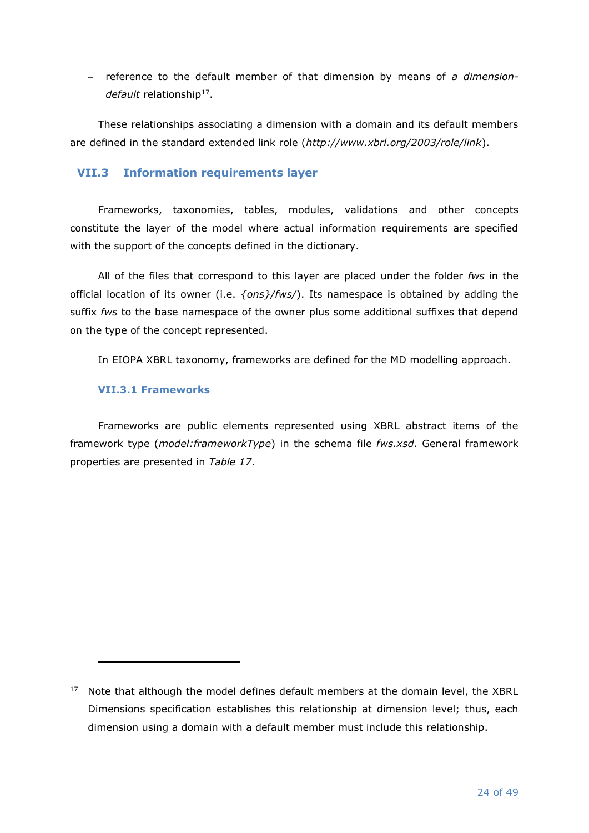– reference to the default member of that dimension by means of *a dimension*default relationship<sup>17</sup>.

These relationships associating a dimension with a domain and its default members are defined in the standard extended link role (*http://www.xbrl.org/2003/role/link*).

# <span id="page-23-0"></span>**VII.3 Information requirements layer**

Frameworks, taxonomies, tables, modules, validations and other concepts constitute the layer of the model where actual information requirements are specified with the support of the concepts defined in the dictionary.

All of the files that correspond to this layer are placed under the folder *fws* in the official location of its owner (i.e. *{ons}/fws/*). Its namespace is obtained by adding the suffix *fws* to the base namespace of the owner plus some additional suffixes that depend on the type of the concept represented.

In EIOPA XBRL taxonomy, frameworks are defined for the MD modelling approach.

## <span id="page-23-1"></span>**VII.3.1 Frameworks**

Frameworks are public elements represented using XBRL abstract items of the framework type (*model:frameworkType*) in the schema file *fws.xsd*. General framework properties are presented in *[Table 17](#page-24-1)*.

 $17$  Note that although the model defines default members at the domain level, the XBRL Dimensions specification establishes this relationship at dimension level; thus, each dimension using a domain with a default member must include this relationship.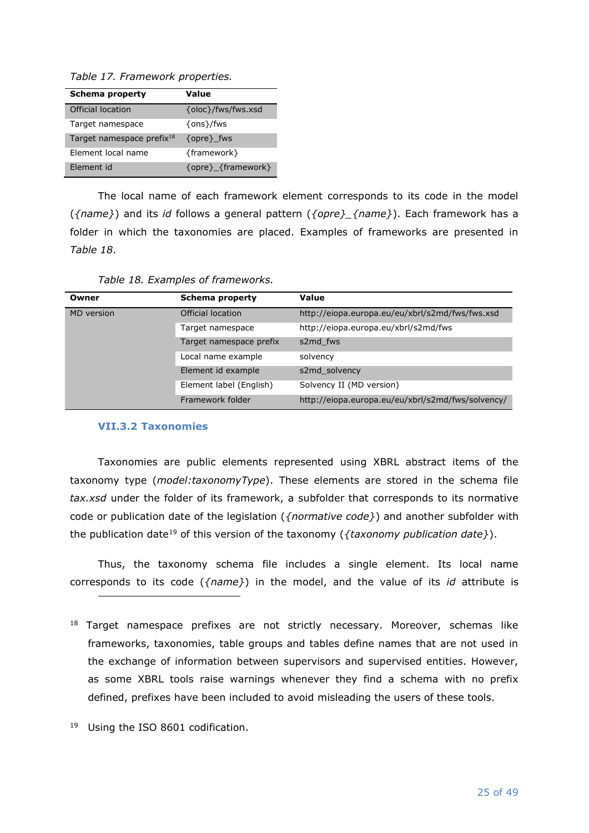<span id="page-24-1"></span>*Table 17. Framework properties.*

| <b>Schema property</b>                | Value              |
|---------------------------------------|--------------------|
| Official location                     | {oloc}/fws/fws.xsd |
| Target namespace                      | $\{ons\}$ /fws     |
| Target namespace prefix <sup>18</sup> | {opre} fws         |
| Element local name                    | {framework}        |
| Element id                            | {opre} {framework} |

The local name of each framework element corresponds to its code in the model (*{name}*) and its *id* follows a general pattern (*{opre}\_{name}*). Each framework has a folder in which the taxonomies are placed. Examples of frameworks are presented in *[Table 18](#page-24-2)*.

<span id="page-24-2"></span>

| Owner             | Schema property         | Value                                             |
|-------------------|-------------------------|---------------------------------------------------|
| <b>MD</b> version | Official location       | http://eiopa.europa.eu/eu/xbrl/s2md/fws/fws.xsd   |
|                   | Target namespace        | http://eiopa.europa.eu/xbrl/s2md/fws              |
|                   | Target namespace prefix | s2md fws                                          |
|                   | Local name example      | solvency                                          |
|                   | Element id example      | s2md solvency                                     |
|                   | Element label (English) | Solvency II (MD version)                          |
|                   | Framework folder        | http://eiopa.europa.eu/eu/xbrl/s2md/fws/solvency/ |

#### <span id="page-24-0"></span>**VII.3.2 Taxonomies**

Taxonomies are public elements represented using XBRL abstract items of the taxonomy type (*model:taxonomyType*). These elements are stored in the schema file *tax.xsd* under the folder of its framework, a subfolder that corresponds to its normative code or publication date of the legislation (*{normative code}*) and another subfolder with the publication date<sup>19</sup> of this version of the taxonomy (*{taxonomy publication date}*).

Thus, the taxonomy schema file includes a single element. Its local name corresponds to its code (*{name}*) in the model, and the value of its *id* attribute is

- $18$  Target namespace prefixes are not strictly necessary. Moreover, schemas like frameworks, taxonomies, table groups and tables define names that are not used in the exchange of information between supervisors and supervised entities. However, as some XBRL tools raise warnings whenever they find a schema with no prefix defined, prefixes have been included to avoid misleading the users of these tools.
- <sup>19</sup> Using the ISO 8601 codification.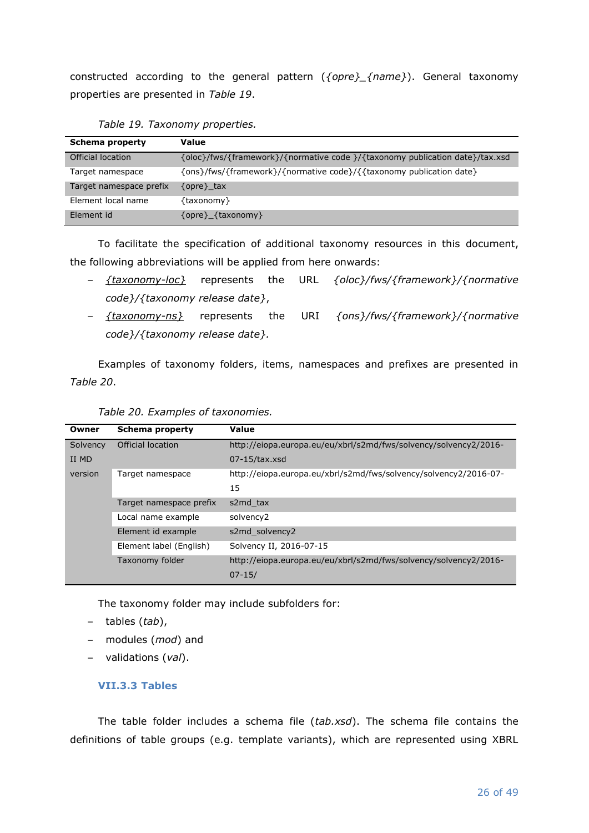constructed according to the general pattern (*{opre}\_{name}*). General taxonomy properties are presented in *[Table 19](#page-25-1)*.

<span id="page-25-1"></span>

| Schema property         | Value                                                                        |
|-------------------------|------------------------------------------------------------------------------|
| Official location       | {oloc}/fws/{framework}/{normative code }/{taxonomy publication date}/tax.xsd |
| Target namespace        | {ons}/fws/{framework}/{normative code}/{{taxonomy publication date}          |
| Target namespace prefix | $\{opre\}$ tax                                                               |
| Element local name      | {taxonomy}                                                                   |
| Element id              | {opre} {taxonomy}                                                            |

|  | Table 19. Taxonomy properties. |  |
|--|--------------------------------|--|
|--|--------------------------------|--|

To facilitate the specification of additional taxonomy resources in this document, the following abbreviations will be applied from here onwards:

- *{taxonomy-loc}* represents the URL *{oloc}/fws/{framework}/{normative code}/{taxonomy release date}*,
- *{taxonomy-ns}* represents the URI *{ons}/fws/{framework}/{normative code}/{taxonomy release date}.*

Examples of taxonomy folders, items, namespaces and prefixes are presented in *[Table 20](#page-25-2)*.

<span id="page-25-2"></span>

| Owner    | <b>Schema property</b>  | Value                                                            |
|----------|-------------------------|------------------------------------------------------------------|
| Solvency | Official location       | http://eiopa.europa.eu/eu/xbrl/s2md/fws/solvency/solvency2/2016- |
| II MD    |                         | $07-15/tax.xsd$                                                  |
| version  | Target namespace        | http://eiopa.europa.eu/xbrl/s2md/fws/solvency/solvency2/2016-07- |
|          |                         | 15                                                               |
|          | Target namespace prefix | s2md tax                                                         |
|          | Local name example      | solvency2                                                        |
|          | Element id example      | s2md solvency2                                                   |
|          | Element label (English) | Solvency II, 2016-07-15                                          |
|          | Taxonomy folder         | http://eiopa.europa.eu/eu/xbrl/s2md/fws/solvency/solvency2/2016- |
|          |                         | $07 - 15/$                                                       |

| Table 20. Examples of taxonomies. |  |
|-----------------------------------|--|
|                                   |  |

The taxonomy folder may include subfolders for:

- tables (*tab*),
- modules (*mod*) and
- <span id="page-25-0"></span>– validations (*val*).

#### **VII.3.3 Tables**

The table folder includes a schema file (*tab.xsd*). The schema file contains the definitions of table groups (e.g. template variants), which are represented using XBRL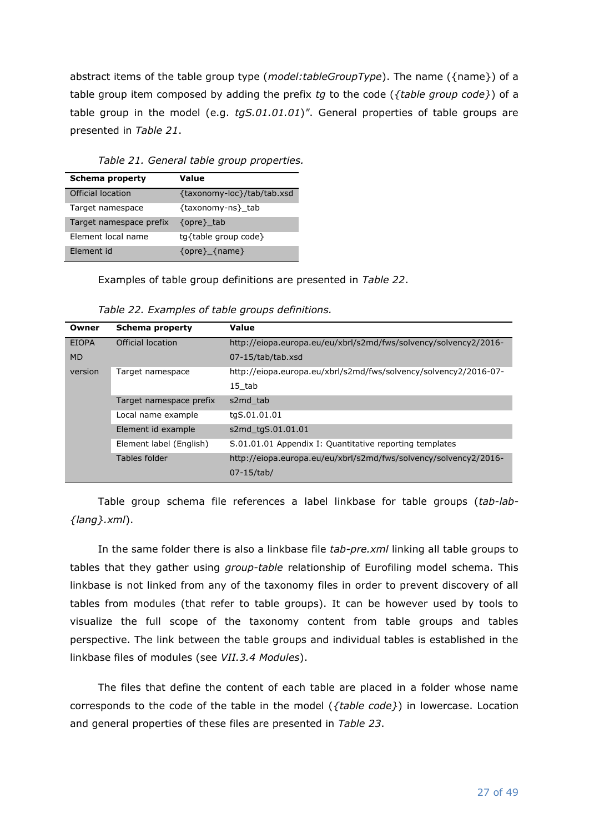abstract items of the table group type (*model:tableGroupType*). The name ({name}) of a table group item composed by adding the prefix *tg* to the code (*{table group code}*) of a table group in the model (e.g. *tgS.01.01.01*)*"*. General properties of table groups are presented in *[Table 21](#page-26-0)*.

<span id="page-26-0"></span>

| <b>Schema property</b>  | Value                      |
|-------------------------|----------------------------|
| Official location       | {taxonomy-loc}/tab/tab.xsd |
| Target namespace        | {taxonomy-ns} tab          |
| Target namespace prefix | {opre}_tab                 |
| Element local name      | tg{table group code}       |
| Element id              | $\{opre\}$ $\{name\}$      |

*Table 21. General table group properties.*

Examples of table group definitions are presented in *[Table 22](#page-26-1)*.

<span id="page-26-1"></span>

| Owner        | Schema property         | Value                                                            |
|--------------|-------------------------|------------------------------------------------------------------|
| <b>EIOPA</b> | Official location       | http://eiopa.europa.eu/eu/xbrl/s2md/fws/solvency/solvency2/2016- |
| <b>MD</b>    |                         | 07-15/tab/tab.xsd                                                |
| version      | Target namespace        | http://eiopa.europa.eu/xbrl/s2md/fws/solvency/solvency2/2016-07- |
|              |                         | 15 tab                                                           |
|              | Target namespace prefix | s2md tab                                                         |
|              | Local name example      | tgS.01.01.01                                                     |
|              | Element id example      | s2md tgS.01.01.01                                                |
|              | Element label (English) | S.01.01.01 Appendix I: Quantitative reporting templates          |
|              | Tables folder           | http://eiopa.europa.eu/eu/xbrl/s2md/fws/solvency/solvency2/2016- |
|              |                         | 07-15/tab/                                                       |

*Table 22. Examples of table groups definitions.*

Table group schema file references a label linkbase for table groups (*tab-lab- {lang}.xml*).

In the same folder there is also a linkbase file *tab-pre.xml* linking all table groups to tables that they gather using *group-table* relationship of Eurofiling model schema. This linkbase is not linked from any of the taxonomy files in order to prevent discovery of all tables from modules (that refer to table groups). It can be however used by tools to visualize the full scope of the taxonomy content from table groups and tables perspective. The link between the table groups and individual tables is established in the linkbase files of modules (see *[VII.3.4](#page-29-0) [Modules](#page-29-0)*).

The files that define the content of each table are placed in a folder whose name corresponds to the code of the table in the model (*{table code}*) in lowercase. Location and general properties of these files are presented in *[Table 23](#page-27-0)*.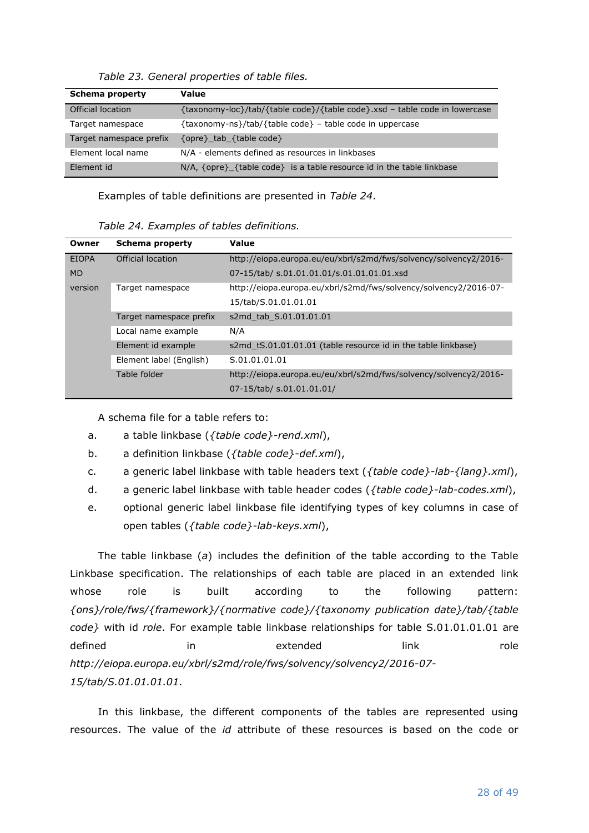<span id="page-27-0"></span>

| <b>Schema property</b>  | Value                                                                      |
|-------------------------|----------------------------------------------------------------------------|
| Official location       | {taxonomy-loc}/tab/{table code}/{table code}.xsd - table code in lowercase |
| Target namespace        | {taxonomy-ns}/tab/{table code} - table code in uppercase                   |
| Target namespace prefix | {opre} tab {table code}                                                    |
| Element local name      | N/A - elements defined as resources in linkbases                           |
| Element id              | $N/A$ , {opre}_{table code} is a table resource id in the table linkbase   |

*Table 23. General properties of table files.*

Examples of table definitions are presented in *[Table 24](#page-27-1)*.

|  | Table 24. Examples of tables definitions. |
|--|-------------------------------------------|
|  |                                           |

<span id="page-27-1"></span>

| Owner        | Schema property         | Value                                                            |
|--------------|-------------------------|------------------------------------------------------------------|
| <b>EIOPA</b> | Official location       | http://eiopa.europa.eu/eu/xbrl/s2md/fws/solvency/solvency2/2016- |
| <b>MD</b>    |                         | 07-15/tab/ s.01.01.01.01/s.01.01.01.01.xsd                       |
| version      | Target namespace        | http://eiopa.europa.eu/xbrl/s2md/fws/solvency/solvency2/2016-07- |
|              |                         | 15/tab/S.01.01.01.01                                             |
|              | Target namespace prefix | s2md tab S.01.01.01.01                                           |
|              | Local name example      | N/A                                                              |
|              | Element id example      | s2md tS.01.01.01.01 (table resource id in the table linkbase)    |
|              | Element label (English) | S.01.01.01.01                                                    |
|              | Table folder            | http://eiopa.europa.eu/eu/xbrl/s2md/fws/solvency/solvency2/2016- |
|              |                         | 07-15/tab/ s.01.01.01.01/                                        |

A schema file for a table refers to:

- <span id="page-27-2"></span>a. a table linkbase (*{table code}-rend.xml*),
- <span id="page-27-3"></span>b. a definition linkbase (*{table code}-def.xml*),
- <span id="page-27-4"></span>c. a generic label linkbase with table headers text (*{table code}-lab-{lang}.xml*),
- <span id="page-27-5"></span>d. a generic label linkbase with table header codes (*{table code}-lab-codes.xml*),
- <span id="page-27-6"></span>e. optional generic label linkbase file identifying types of key columns in case of open tables (*{table code}-lab-keys.xml*),

The table linkbase (*[a](#page-27-2)*) includes the definition of the table according to the Table Linkbase specification. The relationships of each table are placed in an extended link whose role is built according to the following pattern: *{ons}/role/fws/{framework}/{normative code}/{taxonomy publication date}/tab/{table code}* with id *role*. For example table linkbase relationships for table S.01.01.01.01 are defined in extended link role *http://eiopa.europa.eu/xbrl/s2md/role/fws/solvency/solvency2/2016-07- 15/tab/S.01.01.01.01*.

In this linkbase, the different components of the tables are represented using resources. The value of the *id* attribute of these resources is based on the code or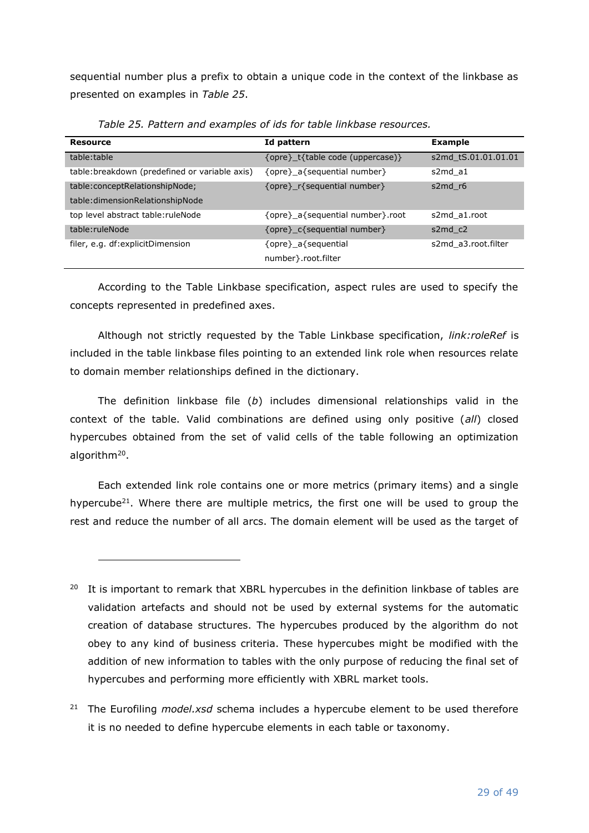sequential number plus a prefix to obtain a unique code in the context of the linkbase as presented on examples in *[Table 25](#page-28-0)*.

<span id="page-28-0"></span>

| <b>Resource</b>                                | Id pattern                       | <b>Example</b>      |
|------------------------------------------------|----------------------------------|---------------------|
| table:table                                    | {opre} t{table code (uppercase)} | s2md tS.01.01.01.01 |
| table: breakdown (predefined or variable axis) | {opre} a{sequential number}      | s2md a1             |
| table:conceptRelationshipNode;                 | {opre} r{sequential number}      | s2md r6             |
| table:dimensionRelationshipNode                |                                  |                     |
| top level abstract table: ruleNode             | {opre} a{sequential number}.root | s2md a1.root        |
| table:ruleNode                                 | {opre} c{sequential number}      | s2md c2             |
| filer, e.g. df:explicitDimension               | {opre} a{sequential              | s2md a3.root.filter |
|                                                | number } root filter             |                     |

*Table 25. Pattern and examples of ids for table linkbase resources.*

According to the Table Linkbase specification, aspect rules are used to specify the concepts represented in predefined axes.

Although not strictly requested by the Table Linkbase specification, *link:roleRef* is included in the table linkbase files pointing to an extended link role when resources relate to domain member relationships defined in the dictionary.

The definition linkbase file (*[b](#page-27-3)*) includes dimensional relationships valid in the context of the table. Valid combinations are defined using only positive (*all*) closed hypercubes obtained from the set of valid cells of the table following an optimization algorithm<sup>20</sup>.

Each extended link role contains one or more metrics (primary items) and a single hypercube<sup>21</sup>. Where there are multiple metrics, the first one will be used to group the rest and reduce the number of all arcs. The domain element will be used as the target of

<sup>&</sup>lt;sup>20</sup> It is important to remark that XBRL hypercubes in the definition linkbase of tables are validation artefacts and should not be used by external systems for the automatic creation of database structures. The hypercubes produced by the algorithm do not obey to any kind of business criteria. These hypercubes might be modified with the addition of new information to tables with the only purpose of reducing the final set of hypercubes and performing more efficiently with XBRL market tools.

<sup>21</sup> The Eurofiling *model.xsd* schema includes a hypercube element to be used therefore it is no needed to define hypercube elements in each table or taxonomy.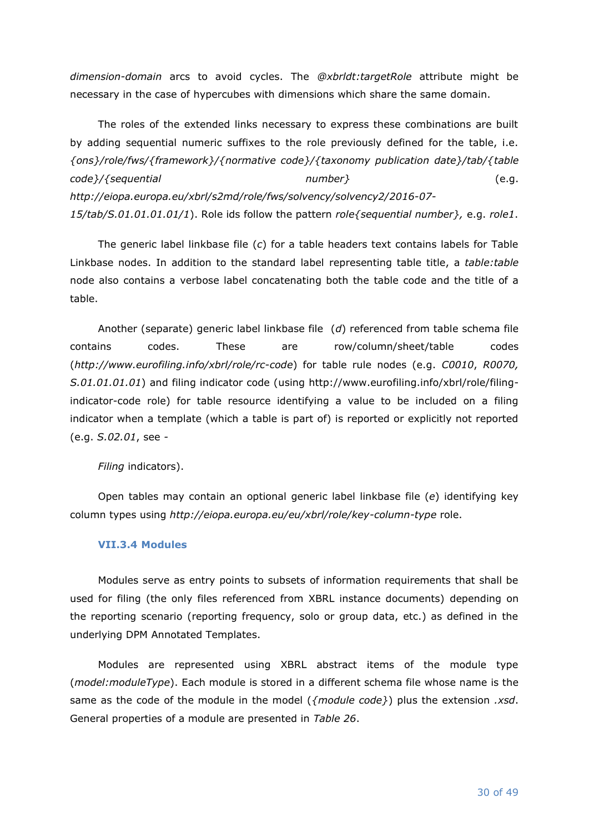*dimension-domain* arcs to avoid cycles. The *@xbrldt:targetRole* attribute might be necessary in the case of hypercubes with dimensions which share the same domain.

The roles of the extended links necessary to express these combinations are built by adding sequential numeric suffixes to the role previously defined for the table, i.e. *{ons}/role/fws/{framework}/{normative code}/{taxonomy publication date}/tab/{table code}/{sequential number}* (e.g. *http://eiopa.europa.eu/xbrl/s2md/role/fws/solvency/solvency2/2016-07- 15/tab/S.01.01.01.01/1*). Role ids follow the pattern *role{sequential number},* e.g. *role1*.

The generic label linkbase file (*[c](#page-27-4)*) for a table headers text contains labels for Table Linkbase nodes. In addition to the standard label representing table title, a *table:table* node also contains a verbose label concatenating both the table code and the title of a table.

Another (separate) generic label linkbase file (*[d](#page-27-5)*) referenced from table schema file contains codes. These are row/column/sheet/table codes (*http://www.eurofiling.info/xbrl/role/rc-code*) for table rule nodes (e.g. *C0010*, *R0070, S.01.01.01.01*) and filing indicator code (using http://www.eurofiling.info/xbrl/role/filingindicator-code role) for table resource identifying a value to be included on a filing indicator when a template (which a table is part of) is reported or explicitly not reported (e.g. *S.02.01*, see *[-](#page-31-1)*

*Filing* [indicators\)](#page-31-1).

Open tables may contain an optional generic label linkbase file (*[e](#page-27-6)*) identifying key column types using *http://eiopa.europa.eu/eu/xbrl/role/key-column-type* role.

## <span id="page-29-0"></span>**VII.3.4 Modules**

Modules serve as entry points to subsets of information requirements that shall be used for filing (the only files referenced from XBRL instance documents) depending on the reporting scenario (reporting frequency, solo or group data, etc.) as defined in the underlying DPM Annotated Templates.

Modules are represented using XBRL abstract items of the module type (*model:moduleType*). Each module is stored in a different schema file whose name is the same as the code of the module in the model (*{module code}*) plus the extension *.xsd*. General properties of a module are presented in *[Table 26](#page-30-0)*.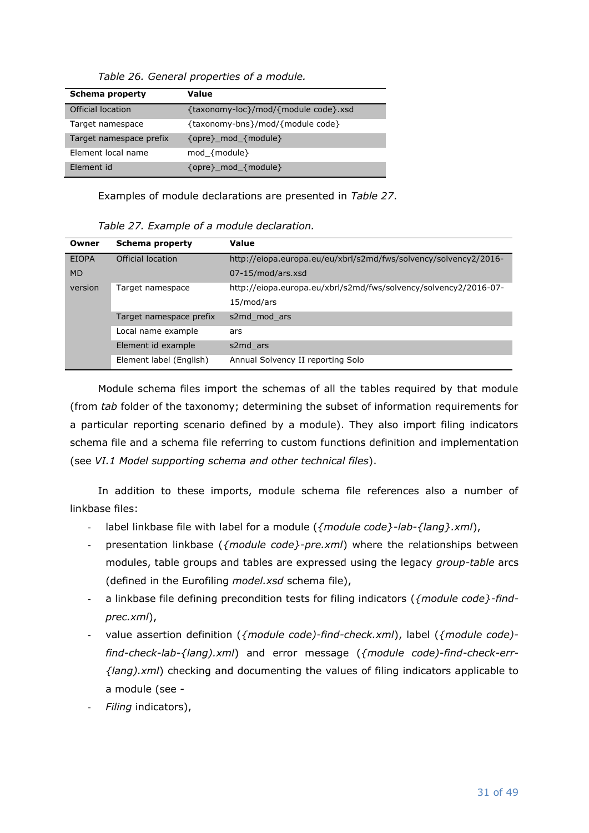<span id="page-30-0"></span>

| <b>Schema property</b>  | Value                                |
|-------------------------|--------------------------------------|
| Official location       | {taxonomy-loc}/mod/{module code}.xsd |
| Target namespace        | {taxonomy-bns}/mod/{module code}     |
| Target namespace prefix | $\{opre\}$ mod $\{module\}$          |
| Element local name      | mod ${module}$                       |
| Element id              | {opre}_mod_{module}                  |

*Table 26. General properties of a module.*

Examples of module declarations are presented in *[Table 27](#page-30-1)*.

| Table 27. Example of a module declaration. |  |  |  |  |  |
|--------------------------------------------|--|--|--|--|--|
|--------------------------------------------|--|--|--|--|--|

<span id="page-30-1"></span>

| Owner        | Schema property         | Value                                                            |
|--------------|-------------------------|------------------------------------------------------------------|
| <b>EIOPA</b> | Official location       | http://eiopa.europa.eu/eu/xbrl/s2md/fws/solvency/solvency2/2016- |
| <b>MD</b>    |                         | 07-15/mod/ars.xsd                                                |
| version      | Target namespace        | http://eiopa.europa.eu/xbrl/s2md/fws/solvency/solvency2/2016-07- |
|              |                         | 15/mod/ars                                                       |
|              | Target namespace prefix | s2md mod ars                                                     |
|              | Local name example      | ars                                                              |
|              | Element id example      | s2md ars                                                         |
|              | Element label (English) | Annual Solvency II reporting Solo                                |

Module schema files import the schemas of all the tables required by that module (from *tab* folder of the taxonomy; determining the subset of information requirements for a particular reporting scenario defined by a module). They also import filing indicators schema file and a schema file referring to custom functions definition and implementation (see *[VI.1](#page-7-1) [Model supporting schema and other technical files](#page-7-1)*).

In addition to these imports, module schema file references also a number of linkbase files:

- label linkbase file with label for a module (*{module code}-lab-{lang}.xml*),
- presentation linkbase ({module code}-pre.xml) where the relationships between modules, table groups and tables are expressed using the legacy *group-table* arcs (defined in the Eurofiling *model.xsd* schema file),
- a linkbase file defining precondition tests for filing indicators ({module code}-find*prec.xml*),
- value assertion definition (*{module code)-find-check.xml*), label (*{module code) find-check-lab-{lang).xml*) and error message (*{module code)-find-check-err- {lang).xml*) checking and documenting the values of filing indicators applicable to a module (see *[-](#page-31-1)*
- *Filing* [indicators\)](#page-31-1),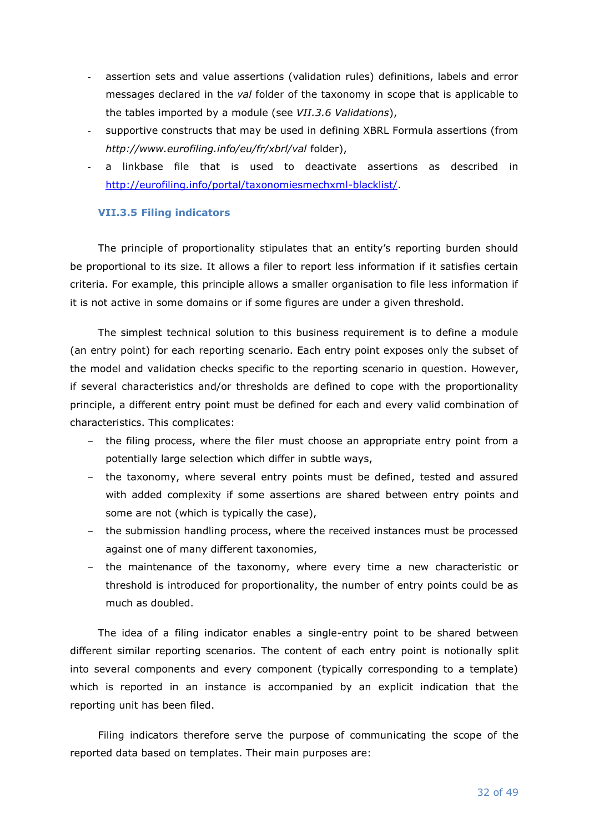- assertion sets and value assertions (validation rules) definitions, labels and error messages declared in the *val* folder of the taxonomy in scope that is applicable to the tables imported by a module (see *[VII.3.6](#page-34-0) [Validations](#page-34-0)*),
- supportive constructs that may be used in defining XBRL Formula assertions (from *http://www.eurofiling.info/eu/fr/xbrl/val* folder),
- a linkbase file that is used to deactivate assertions as described in [http://eurofiling.info/portal/taxonomiesmechxml-blacklist/.](http://eurofiling.info/portal/taxonomiesmechxml-blacklist/)

## <span id="page-31-1"></span><span id="page-31-0"></span>**VII.3.5 Filing indicators**

The principle of proportionality stipulates that an entity's reporting burden should be proportional to its size. It allows a filer to report less information if it satisfies certain criteria. For example, this principle allows a smaller organisation to file less information if it is not active in some domains or if some figures are under a given threshold.

The simplest technical solution to this business requirement is to define a module (an entry point) for each reporting scenario. Each entry point exposes only the subset of the model and validation checks specific to the reporting scenario in question. However, if several characteristics and/or thresholds are defined to cope with the proportionality principle, a different entry point must be defined for each and every valid combination of characteristics. This complicates:

- the filing process, where the filer must choose an appropriate entry point from a potentially large selection which differ in subtle ways,
- the taxonomy, where several entry points must be defined, tested and assured with added complexity if some assertions are shared between entry points and some are not (which is typically the case),
- the submission handling process, where the received instances must be processed against one of many different taxonomies,
- the maintenance of the taxonomy, where every time a new characteristic or threshold is introduced for proportionality, the number of entry points could be as much as doubled.

The idea of a filing indicator enables a single-entry point to be shared between different similar reporting scenarios. The content of each entry point is notionally split into several components and every component (typically corresponding to a template) which is reported in an instance is accompanied by an explicit indication that the reporting unit has been filed.

Filing indicators therefore serve the purpose of communicating the scope of the reported data based on templates. Their main purposes are: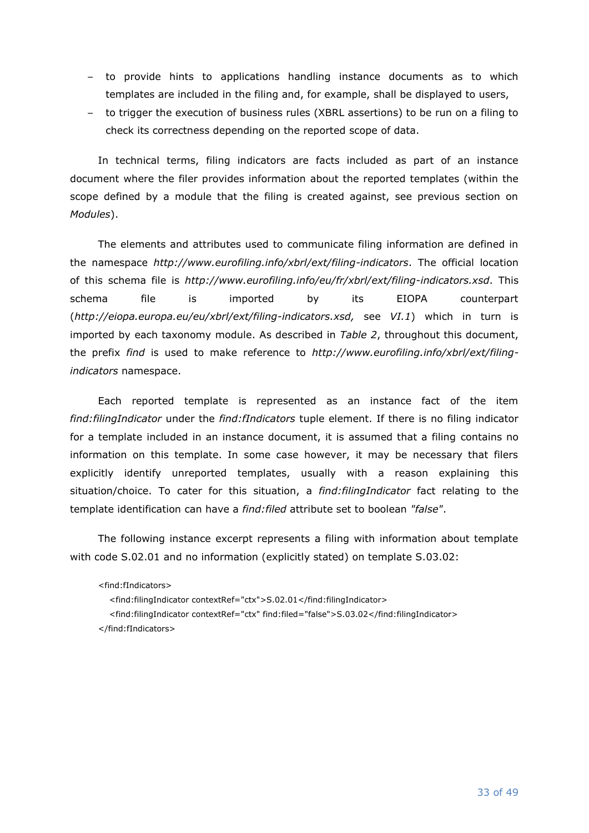- to provide hints to applications handling instance documents as to which templates are included in the filing and, for example, shall be displayed to users,
- to trigger the execution of business rules (XBRL assertions) to be run on a filing to check its correctness depending on the reported scope of data.

In technical terms, filing indicators are facts included as part of an instance document where the filer provides information about the reported templates (within the scope defined by a module that the filing is created against, see previous section on *[Modules](#page-29-0)*).

The elements and attributes used to communicate filing information are defined in the namespace *http://www.eurofiling.info/xbrl/ext/filing-indicators*. The official location of this schema file is *http://www.eurofiling.info/eu/fr/xbrl/ext/filing-indicators.xsd*. This schema file is imported by its EIOPA counterpart (*http://eiopa.europa.eu/eu/xbrl/ext/filing-indicators.xsd,* see *[VI.1](#page-7-1)*) which in turn is imported by each taxonomy module. As described in *[Table 2](#page-9-2)*, throughout this document, the prefix *find* is used to make reference to *http://www.eurofiling.info/xbrl/ext/filingindicators* namespace.

Each reported template is represented as an instance fact of the item *find:filingIndicator* under the *find:fIndicators* tuple element. If there is no filing indicator for a template included in an instance document, it is assumed that a filing contains no information on this template. In some case however, it may be necessary that filers explicitly identify unreported templates, usually with a reason explaining this situation/choice. To cater for this situation, a *find:filingIndicator* fact relating to the template identification can have a *find:filed* attribute set to boolean *"false"*.

The following instance excerpt represents a filing with information about template with code S.02.01 and no information (explicitly stated) on template S.03.02:

```
<find:fIndicators>
    <find:filingIndicator contextRef="ctx">S.02.01</find:filingIndicator>
    <find:filingIndicator contextRef="ctx" find:filed="false">S.03.02</find:filingIndicator>
</find:fIndicators>
```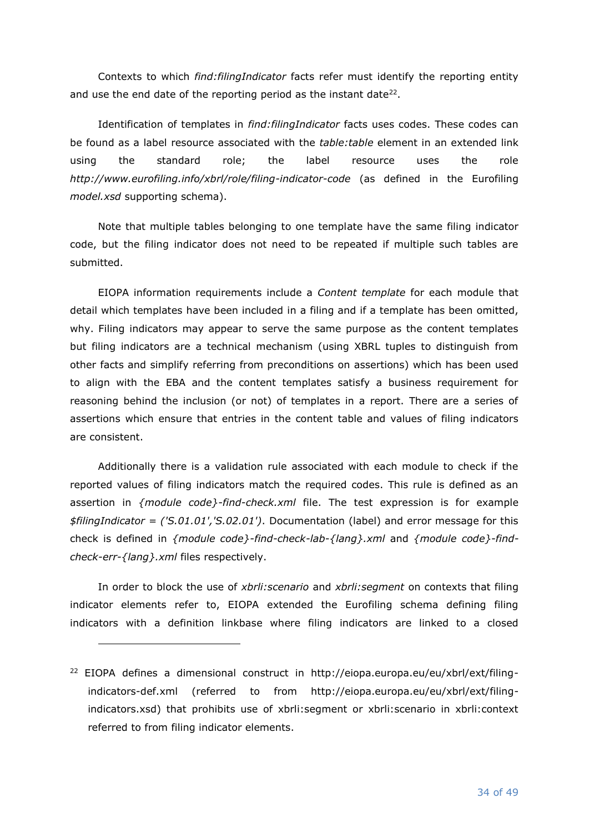Contexts to which *find:filingIndicator* facts refer must identify the reporting entity and use the end date of the reporting period as the instant date<sup>22</sup>.

Identification of templates in *find:filingIndicator* facts uses codes. These codes can be found as a label resource associated with the *table:table* element in an extended link using the standard role; the label resource uses the role *http://www.eurofiling.info/xbrl/role/filing-indicator-code* (as defined in the Eurofiling *model.xsd* supporting schema).

Note that multiple tables belonging to one template have the same filing indicator code, but the filing indicator does not need to be repeated if multiple such tables are submitted.

EIOPA information requirements include a *Content template* for each module that detail which templates have been included in a filing and if a template has been omitted, why. Filing indicators may appear to serve the same purpose as the content templates but filing indicators are a technical mechanism (using XBRL tuples to distinguish from other facts and simplify referring from preconditions on assertions) which has been used to align with the EBA and the content templates satisfy a business requirement for reasoning behind the inclusion (or not) of templates in a report. There are a series of assertions which ensure that entries in the content table and values of filing indicators are consistent.

Additionally there is a validation rule associated with each module to check if the reported values of filing indicators match the required codes. This rule is defined as an assertion in *{module code}-find-check.xml* file. The test expression is for example *\$filingIndicator = ('S.01.01','S.02.01')*. Documentation (label) and error message for this check is defined in *{module code}-find-check-lab-{lang}.xml* and *{module code}-findcheck-err-{lang}.xml* files respectively.

In order to block the use of *xbrli:scenario* and *xbrli:segment* on contexts that filing indicator elements refer to, EIOPA extended the Eurofiling schema defining filing indicators with a definition linkbase where filing indicators are linked to a closed

<sup>&</sup>lt;sup>22</sup> EIOPA defines a dimensional construct in http://eiopa.europa.eu/eu/xbrl/ext/filingindicators-def.xml (referred to from http://eiopa.europa.eu/eu/xbrl/ext/filingindicators.xsd) that prohibits use of xbrli:segment or xbrli:scenario in xbrli:context referred to from filing indicator elements.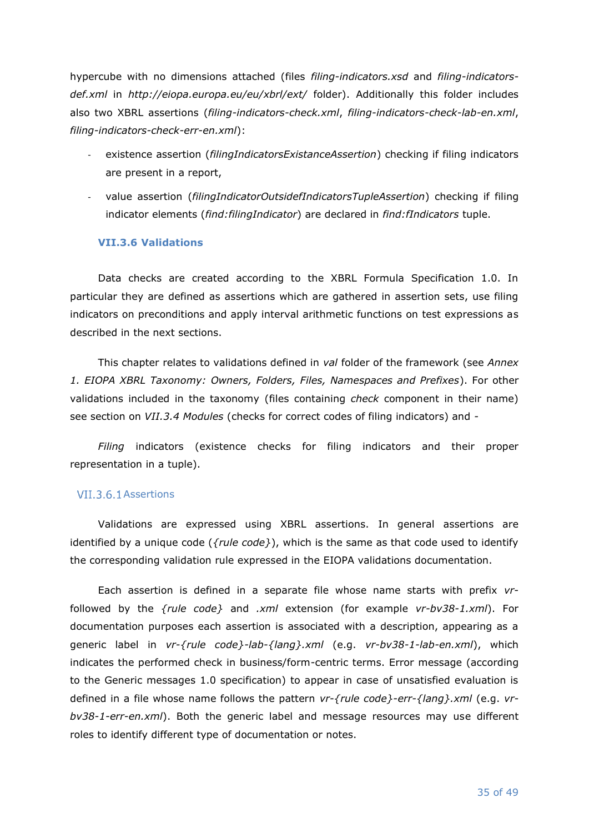hypercube with no dimensions attached (files *filing-indicators.xsd* and *filing-indicatorsdef.xml* in *http://eiopa.europa.eu/eu/xbrl/ext/* folder). Additionally this folder includes also two XBRL assertions (*filing-indicators-check.xml*, *filing-indicators-check-lab-en.xml*, *filing-indicators-check-err-en.xml*):

- existence assertion (*filingIndicatorsExistanceAssertion*) checking if filing indicators are present in a report,
- value assertion (*filingIndicatorOutsidefIndicatorsTupleAssertion*) checking if filing indicator elements (*find:filingIndicator*) are declared in *find:fIndicators* tuple.

### <span id="page-34-0"></span>**VII.3.6 Validations**

Data checks are created according to the XBRL Formula Specification 1.0. In particular they are defined as assertions which are gathered in assertion sets, use filing indicators on preconditions and apply interval arithmetic functions on test expressions as described in the next sections.

This chapter relates to validations defined in *val* folder of the framework (see *[Annex](#page-44-0) [1. EIOPA XBRL Taxonomy: Owners, Folders, Files, Namespaces and Prefixes](#page-44-0)*). For other validations included in the taxonomy (files containing *check* component in their name) see section on *[VII.3.4](#page-29-0) [Modules](#page-29-0)* (checks for correct codes of filing indicators) and *[-](#page-31-1)*

*Filing* [indicators](#page-31-1) (existence checks for filing indicators and their proper representation in a tuple).

#### VII.3.6.1 Assertions

Validations are expressed using XBRL assertions. In general assertions are identified by a unique code (*{rule code}*), which is the same as that code used to identify the corresponding validation rule expressed in the EIOPA validations documentation.

Each assertion is defined in a separate file whose name starts with prefix *vr*followed by the *{rule code}* and *.xml* extension (for example *vr-bv38-1.xml*). For documentation purposes each assertion is associated with a description, appearing as a generic label in *vr-{rule code}-lab-{lang}.xml* (e.g. *vr-bv38-1-lab-en.xml*), which indicates the performed check in business/form-centric terms. Error message (according to the Generic messages 1.0 specification) to appear in case of unsatisfied evaluation is defined in a file whose name follows the pattern *vr-{rule code}-err-{lang}.xml* (e.g. *vrbv38-1-err-en.xml*). Both the generic label and message resources may use different roles to identify different type of documentation or notes.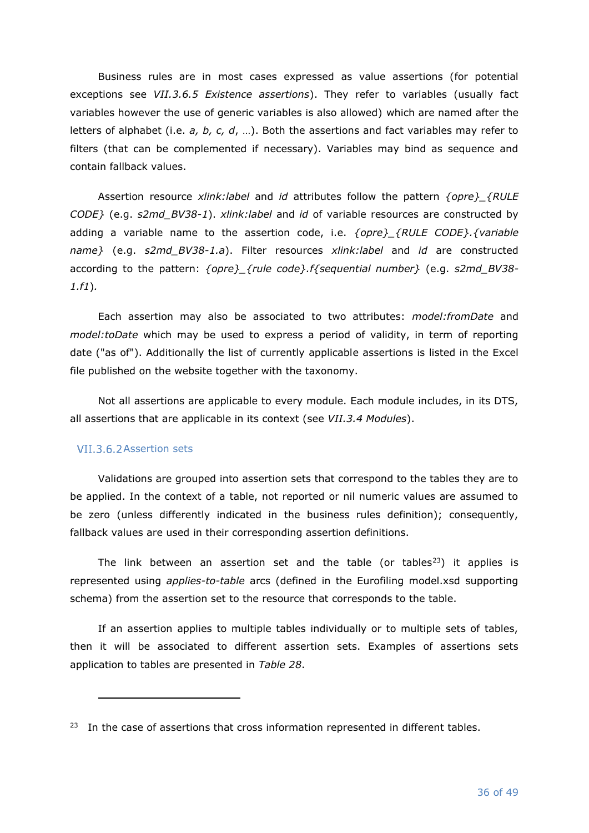Business rules are in most cases expressed as value assertions (for potential exceptions see *[VII.3.6.5](#page-38-0) [Existence assertions](#page-38-0)*). They refer to variables (usually fact variables however the use of generic variables is also allowed) which are named after the letters of alphabet (i.e. *a, b, c, d*, …). Both the assertions and fact variables may refer to filters (that can be complemented if necessary). Variables may bind as sequence and contain fallback values.

Assertion resource *xlink:label* and *id* attributes follow the pattern *{opre}\_{RULE CODE}* (e.g. *s2md\_BV38-1*). *xlink:label* and *id* of variable resources are constructed by adding a variable name to the assertion code, i.e. *{opre}\_{RULE CODE}.{variable name}* (e.g. *s2md\_BV38-1.a*). Filter resources *xlink:label* and *id* are constructed according to the pattern: *{opre}\_{rule code}.f{sequential number}* (e.g. *s2md\_BV38- 1.f1*)*.*

Each assertion may also be associated to two attributes: *model:fromDate* and *model:toDate* which may be used to express a period of validity, in term of reporting date ("as of"). Additionally the list of currently applicable assertions is listed in the Excel file published on the website together with the taxonomy.

Not all assertions are applicable to every module. Each module includes, in its DTS, all assertions that are applicable in its context (see *[VII.3.4](#page-29-0) [Modules](#page-29-0)*).

#### VII.3.6.2 Assertion sets

Validations are grouped into assertion sets that correspond to the tables they are to be applied. In the context of a table, not reported or nil numeric values are assumed to be zero (unless differently indicated in the business rules definition); consequently, fallback values are used in their corresponding assertion definitions.

The link between an assertion set and the table (or tables<sup>23</sup>) it applies is represented using *applies-to-table* arcs (defined in the Eurofiling model.xsd supporting schema) from the assertion set to the resource that corresponds to the table.

If an assertion applies to multiple tables individually or to multiple sets of tables, then it will be associated to different assertion sets. Examples of assertions sets application to tables are presented in *[Table 28](#page-36-0)*.

 $23$  In the case of assertions that cross information represented in different tables.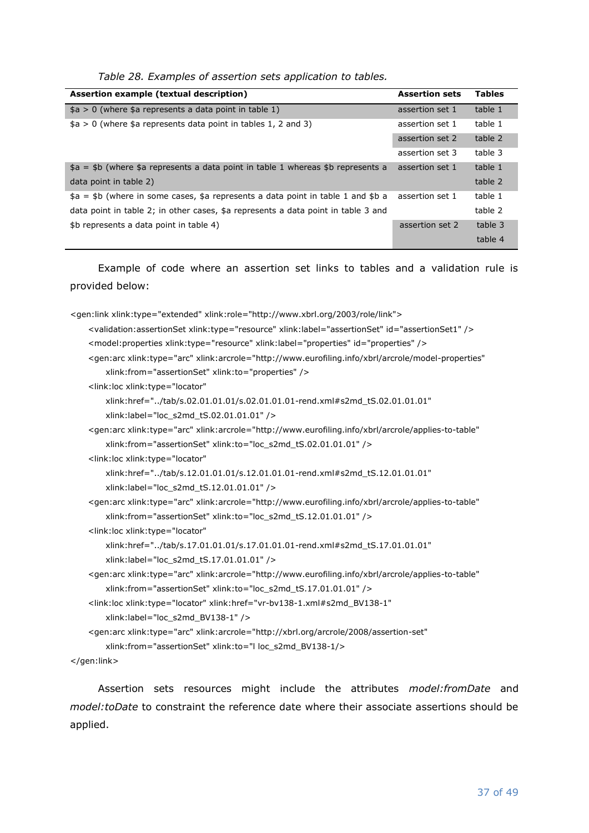|  | Table 28. Examples of assertion sets application to tables. |  |
|--|-------------------------------------------------------------|--|
|  |                                                             |  |

<span id="page-36-0"></span>

| Assertion example (textual description)                                           | <b>Assertion sets</b> | <b>Tables</b> |
|-----------------------------------------------------------------------------------|-----------------------|---------------|
| $$a > 0$ (where \$a represents a data point in table 1)                           | assertion set 1       | table 1       |
| $$a > 0$ (where $$a$ represents data point in tables 1, 2 and 3)                  | assertion set 1       | table 1       |
|                                                                                   | assertion set 2       | table 2       |
|                                                                                   | assertion set 3       | table 3       |
| $$a = $b$ (where \$a represents a data point in table 1 whereas \$b represents a  | assertion set 1       | table 1       |
| data point in table 2)                                                            |                       | table 2       |
| $$a = $b$ (where in some cases, \$a represents a data point in table 1 and \$b a  | assertion set 1       | table 1       |
| data point in table 2; in other cases, \$a represents a data point in table 3 and |                       | table 2       |
| \$b represents a data point in table 4)                                           | assertion set 2       | table 3       |
|                                                                                   |                       | table 4       |

Example of code where an assertion set links to tables and a validation rule is provided below:

| <gen:link xlink:role="http://www.xbrl.org/2003/role/link" xlink:type="extended"></gen:link>                                       |  |
|-----------------------------------------------------------------------------------------------------------------------------------|--|
| <validation:assertionset id="assertionSet1" xlink:label="assertionSet" xlink:type="resource"></validation:assertionset>           |  |
| <model:properties id="properties" xlink:label="properties" xlink:type="resource"></model:properties>                              |  |
| <gen:arc <="" td="" xlink:arcrole="http://www.eurofiling.info/xbrl/arcrole/model-properties" xlink:type="arc"><td></td></gen:arc> |  |
| xlink:from="assertionSet" xlink:to="properties" />                                                                                |  |
| <link:loc <="" td="" xlink:type="locator"><td></td></link:loc>                                                                    |  |
| xlink:href="/tab/s.02.01.01.01/s.02.01.01.01-rend.xml#s2md_tS.02.01.01.01"                                                        |  |
| xlink:label="loc s2md tS.02.01.01.01" />                                                                                          |  |
| <gen:arc <="" td="" xlink:arcrole="http://www.eurofiling.info/xbrl/arcrole/applies-to-table" xlink:type="arc"><td></td></gen:arc> |  |
| xlink:from="assertionSet" xlink:to="loc_s2md_tS.02.01.01.01" />                                                                   |  |
| <link:loc <="" td="" xlink:type="locator"><td></td></link:loc>                                                                    |  |
| xlink:href="/tab/s.12.01.01.01/s.12.01.01.01-rend.xml#s2md_tS.12.01.01.01"                                                        |  |
| xlink:label="loc_s2md_tS.12.01.01.01" />                                                                                          |  |
| <gen:arc <="" td="" xlink:arcrole="http://www.eurofiling.info/xbrl/arcrole/applies-to-table" xlink:type="arc"><td></td></gen:arc> |  |
| xlink:from="assertionSet" xlink:to="loc_s2md_tS.12.01.01.01" />                                                                   |  |
| <link:loc <="" td="" xlink:type="locator"><td></td></link:loc>                                                                    |  |
| xlink:href="/tab/s.17.01.01.01/s.17.01.01.01-rend.xml#s2md_tS.17.01.01.01"                                                        |  |
| xlink:label="loc_s2md_tS.17.01.01.01" />                                                                                          |  |
| <gen:arc <="" td="" xlink:arcrole="http://www.eurofiling.info/xbrl/arcrole/applies-to-table" xlink:type="arc"><td></td></gen:arc> |  |
| xlink:from="assertionSet" xlink:to="loc s2md tS.17.01.01.01" />                                                                   |  |
| <link:loc <="" td="" xlink:href="vr-bv138-1.xml#s2md BV138-1" xlink:type="locator"><td></td></link:loc>                           |  |
| xlink:label="loc_s2md_BV138-1" />                                                                                                 |  |
| <gen:arc <="" td="" xlink:arcrole="http://xbrl.org/arcrole/2008/assertion-set" xlink:type="arc"><td></td></gen:arc>               |  |
| xlink:from="assertionSet" xlink:to="I loc_s2md_BV138-1/>                                                                          |  |

</gen:link>

Assertion sets resources might include the attributes *model:fromDate* and *model:toDate* to constraint the reference date where their associate assertions should be applied.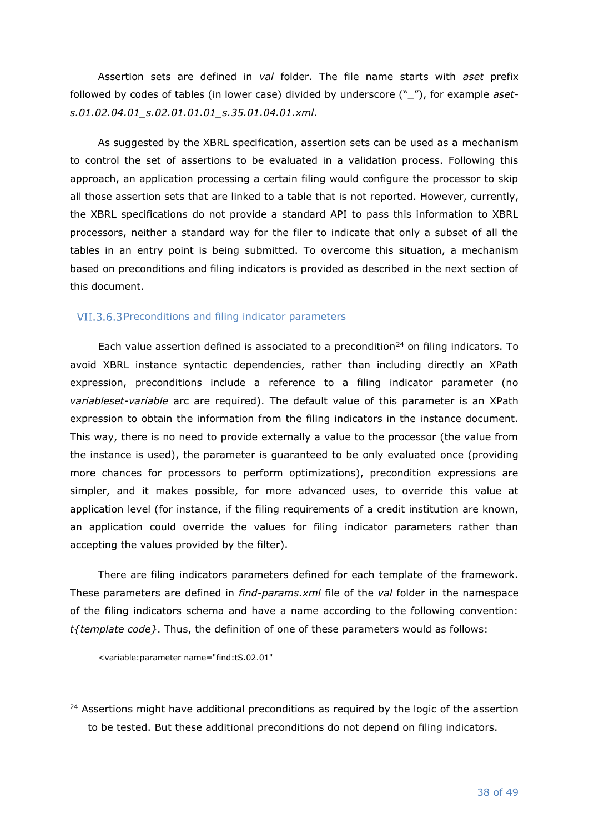Assertion sets are defined in *val* folder. The file name starts with *aset* prefix followed by codes of tables (in lower case) divided by underscore ("\_"), for example *asets.01.02.04.01\_s.02.01.01.01\_s.35.01.04.01.xml*.

As suggested by the XBRL specification, assertion sets can be used as a mechanism to control the set of assertions to be evaluated in a validation process. Following this approach, an application processing a certain filing would configure the processor to skip all those assertion sets that are linked to a table that is not reported. However, currently, the XBRL specifications do not provide a standard API to pass this information to XBRL processors, neither a standard way for the filer to indicate that only a subset of all the tables in an entry point is being submitted. To overcome this situation, a mechanism based on preconditions and filing indicators is provided as described in the next section of this document.

#### VII.3.6.3 Preconditions and filing indicator parameters

Each value assertion defined is associated to a precondition<sup>24</sup> on filing indicators. To avoid XBRL instance syntactic dependencies, rather than including directly an XPath expression, preconditions include a reference to a filing indicator parameter (no *variableset-variable* arc are required). The default value of this parameter is an XPath expression to obtain the information from the filing indicators in the instance document. This way, there is no need to provide externally a value to the processor (the value from the instance is used), the parameter is guaranteed to be only evaluated once (providing more chances for processors to perform optimizations), precondition expressions are simpler, and it makes possible, for more advanced uses, to override this value at application level (for instance, if the filing requirements of a credit institution are known, an application could override the values for filing indicator parameters rather than accepting the values provided by the filter).

There are filing indicators parameters defined for each template of the framework. These parameters are defined in *find-params.xml* file of the *val* folder in the namespace of the filing indicators schema and have a name according to the following convention: *t{template code}*. Thus, the definition of one of these parameters would as follows:

<variable:parameter name="find:tS.02.01"

 $24$  Assertions might have additional preconditions as required by the logic of the assertion to be tested. But these additional preconditions do not depend on filing indicators.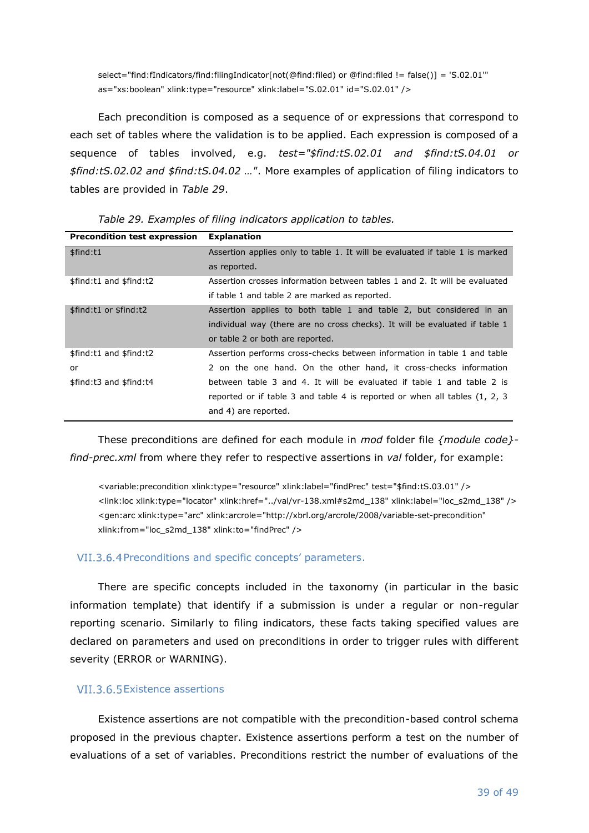select="find:fIndicators/find:filingIndicator[not(@find:filed) or @find:filed != false()] = 'S.02.01'" as="xs:boolean" xlink:type="resource" xlink:label="S.02.01" id="S.02.01" />

Each precondition is composed as a sequence of or expressions that correspond to each set of tables where the validation is to be applied. Each expression is composed of a sequence of tables involved, e.g. *test="\$find:tS.02.01 and \$find:tS.04.01 or \$find:tS.02.02 and \$find:tS.04.02 …"*. More examples of application of filing indicators to tables are provided in *[Table 29](#page-38-1)*.

<span id="page-38-1"></span>

| <b>Precondition test expression</b> | <b>Explanation</b>                                                            |  |
|-------------------------------------|-------------------------------------------------------------------------------|--|
| \$find:t1                           | Assertion applies only to table 1. It will be evaluated if table 1 is marked  |  |
|                                     | as reported.                                                                  |  |
| \$find:t1 and \$find:t2             | Assertion crosses information between tables 1 and 2. It will be evaluated    |  |
|                                     | if table 1 and table 2 are marked as reported.                                |  |
| \$find:t1 or \$find:t2              | Assertion applies to both table 1 and table 2, but considered in an           |  |
|                                     | individual way (there are no cross checks). It will be evaluated if table 1   |  |
|                                     | or table 2 or both are reported.                                              |  |
| \$find:t1 and \$find:t2             | Assertion performs cross-checks between information in table 1 and table      |  |
| or                                  | 2 on the one hand. On the other hand, it cross-checks information             |  |
| \$find:t3 and \$find:t4             | between table 3 and 4. It will be evaluated if table 1 and table 2 is         |  |
|                                     | reported or if table 3 and table 4 is reported or when all tables $(1, 2, 3)$ |  |
|                                     | and 4) are reported.                                                          |  |

*Table 29. Examples of filing indicators application to tables.*

These preconditions are defined for each module in *mod* folder file *{module code} find-prec.xml* from where they refer to respective assertions in *val* folder, for example:

<variable:precondition xlink:type="resource" xlink:label="findPrec" test="\$find:tS.03.01" /> <link:loc xlink:type="locator" xlink:href="../val/vr-138.xml#s2md\_138" xlink:label="loc\_s2md\_138" /> <gen:arc xlink:type="arc" xlink:arcrole="http://xbrl.org/arcrole/2008/variable-set-precondition" xlink:from="loc\_s2md\_138" xlink:to="findPrec" />

#### VII.3.6.4 Preconditions and specific concepts' parameters.

There are specific concepts included in the taxonomy (in particular in the basic information template) that identify if a submission is under a regular or non-regular reporting scenario. Similarly to filing indicators, these facts taking specified values are declared on parameters and used on preconditions in order to trigger rules with different severity (ERROR or WARNING).

### <span id="page-38-0"></span>VII.3.6.5 Existence assertions

Existence assertions are not compatible with the precondition-based control schema proposed in the previous chapter. Existence assertions perform a test on the number of evaluations of a set of variables. Preconditions restrict the number of evaluations of the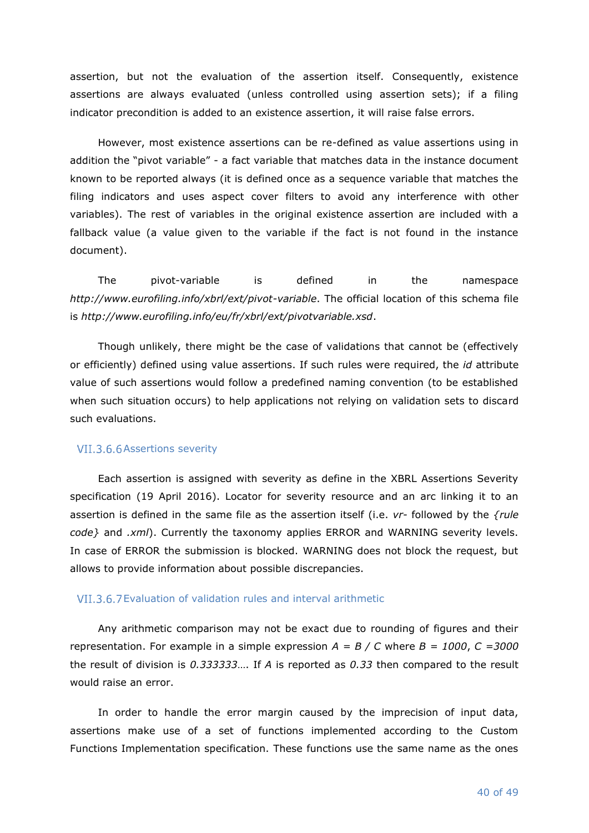assertion, but not the evaluation of the assertion itself. Consequently, existence assertions are always evaluated (unless controlled using assertion sets); if a filing indicator precondition is added to an existence assertion, it will raise false errors.

However, most existence assertions can be re-defined as value assertions using in addition the "pivot variable" - a fact variable that matches data in the instance document known to be reported always (it is defined once as a sequence variable that matches the filing indicators and uses aspect cover filters to avoid any interference with other variables). The rest of variables in the original existence assertion are included with a fallback value (a value given to the variable if the fact is not found in the instance document).

The pivot-variable is defined in the namespace *http://www.eurofiling.info/xbrl/ext/pivot-variable*. The official location of this schema file is *http://www.eurofiling.info/eu/fr/xbrl/ext/pivotvariable.xsd*.

Though unlikely, there might be the case of validations that cannot be (effectively or efficiently) defined using value assertions. If such rules were required, the *id* attribute value of such assertions would follow a predefined naming convention (to be established when such situation occurs) to help applications not relying on validation sets to discard such evaluations.

#### VII.3.6.6 Assertions severity

Each assertion is assigned with severity as define in the XBRL Assertions Severity specification (19 April 2016). Locator for severity resource and an arc linking it to an assertion is defined in the same file as the assertion itself (i.e. *vr-* followed by the *{rule code}* and *.xml*). Currently the taxonomy applies ERROR and WARNING severity levels. In case of ERROR the submission is blocked. WARNING does not block the request, but allows to provide information about possible discrepancies.

#### VII.3.6.7 Evaluation of validation rules and interval arithmetic

Any arithmetic comparison may not be exact due to rounding of figures and their representation. For example in a simple expression *A = B / C* where *B = 1000*, *C =3000* the result of division is *0.333333*…. If *A* is reported as *0.33* then compared to the result would raise an error.

In order to handle the error margin caused by the imprecision of input data, assertions make use of a set of functions implemented according to the Custom Functions Implementation specification. These functions use the same name as the ones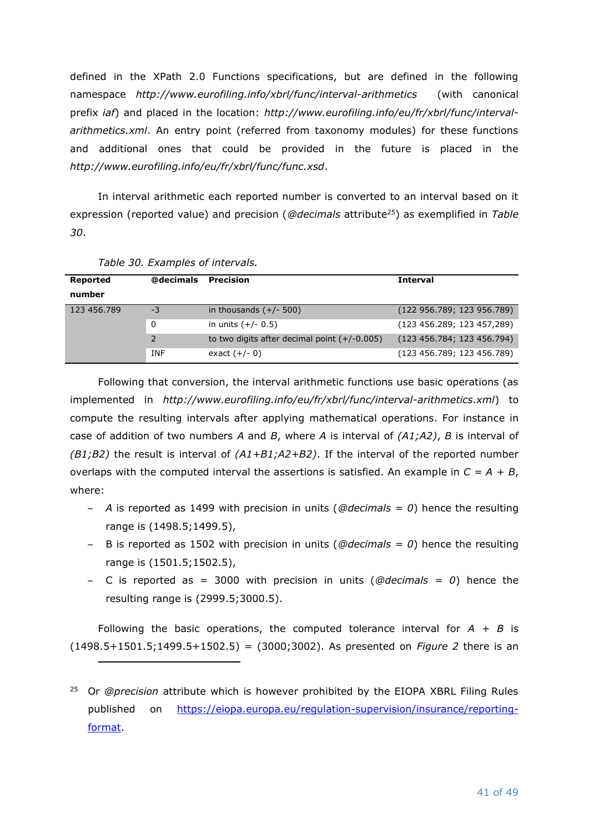defined in the XPath 2.0 Functions specifications, but are defined in the following namespace *http://www.eurofiling.info/xbrl/func/interval-arithmetics* (with canonical prefix *iaf*) and placed in the location: *http://www.eurofiling.info/eu/fr/xbrl/func/intervalarithmetics.xml*. An entry point (referred from taxonomy modules) for these functions and additional ones that could be provided in the future is placed in the *http://www.eurofiling.info/eu/fr/xbrl/func/func.xsd*.

In interval arithmetic each reported number is converted to an interval based on it expression (reported value) and precision (*@decimals* attribute<sup>25</sup>) as exemplified in *[Table](#page-40-0)  [30](#page-40-0)*.

<span id="page-40-0"></span>

| Reported    | @decimals  | <b>Precision</b>                               | <b>Interval</b>            |
|-------------|------------|------------------------------------------------|----------------------------|
| number      |            |                                                |                            |
| 123 456.789 | $-3$       | in thousands $(+/- 500)$                       | (122 956.789; 123 956.789) |
|             | 0          | in units $(+/- 0.5)$                           | (123 456.289; 123 457,289) |
|             | 2          | to two digits after decimal point $(+/-0.005)$ | (123 456.784; 123 456.794) |
|             | <b>INF</b> | exact $(+/- 0)$                                | (123 456.789; 123 456.789) |

*Table 30. Examples of intervals.*

Following that conversion, the interval arithmetic functions use basic operations (as implemented in *http://www.eurofiling.info/eu/fr/xbrl/func/interval-arithmetics.xml*) to compute the resulting intervals after applying mathematical operations. For instance in case of addition of two numbers *A* and *B*, where *A* is interval of *(A1;A2)*, *B* is interval of *(B1;B2)* the result is interval of *(A1+B1;A2+B2)*. If the interval of the reported number overlaps with the computed interval the assertions is satisfied. An example in  $C = A + B$ , where:

- *A* is reported as 1499 with precision in units (*@decimals = 0*) hence the resulting range is (1498.5;1499.5),
- B is reported as 1502 with precision in units (*@decimals = 0*) hence the resulting range is (1501.5;1502.5),
- C is reported as = 3000 with precision in units (*@decimals = 0*) hence the resulting range is (2999.5;3000.5).

Following the basic operations, the computed tolerance interval for  $A + B$  is  $(1498.5+1501.5;1499.5+1502.5) = (3000;3002)$ . As presented on *[Figure 2](#page-41-0)* there is an

<sup>25</sup> Or *@precision* attribute which is however prohibited by the EIOPA XBRL Filing Rules published on [https://eiopa.europa.eu/regulation-supervision/insurance/reporting](https://eiopa.europa.eu/regulation-supervision/insurance/reporting-format)[format.](https://eiopa.europa.eu/regulation-supervision/insurance/reporting-format)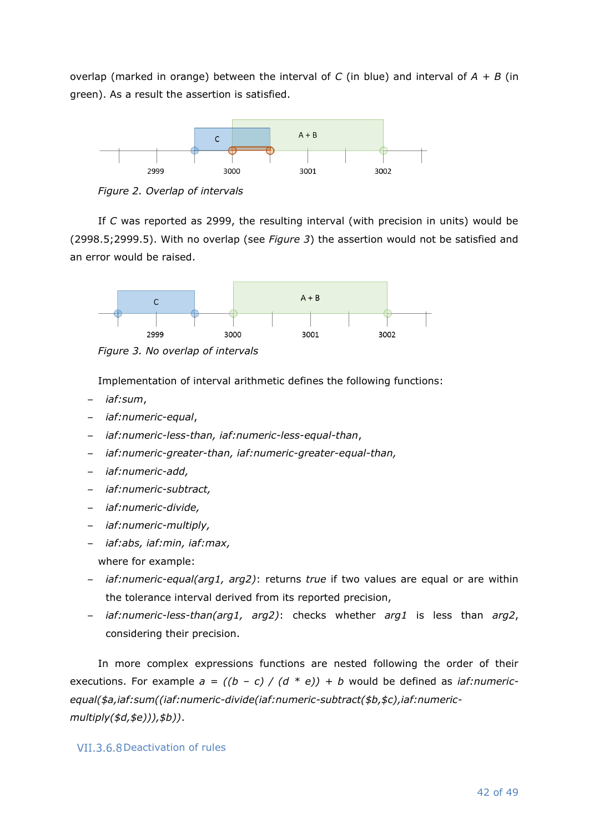overlap (marked in orange) between the interval of *C* (in blue) and interval of *A + B* (in green). As a result the assertion is satisfied.



<span id="page-41-0"></span>*Figure 2. Overlap of intervals*

If *C* was reported as 2999, the resulting interval (with precision in units) would be (2998.5;2999.5). With no overlap (see *[Figure 3](#page-41-1)*) the assertion would not be satisfied and an error would be raised.



<span id="page-41-1"></span>*Figure 3. No overlap of intervals*

Implementation of interval arithmetic defines the following functions:

- *iaf:sum*,
- *iaf:numeric-equal*,
- *iaf:numeric-less-than, iaf:numeric-less-equal-than*,
- *iaf:numeric-greater-than, iaf:numeric-greater-equal-than,*
- *iaf:numeric-add,*
- *iaf:numeric-subtract,*
- *iaf:numeric-divide,*
- *iaf:numeric-multiply,*
- *iaf:abs, iaf:min, iaf:max,*
- where for example:
- *iaf:numeric-equal(arg1, arg2)*: returns *true* if two values are equal or are within the tolerance interval derived from its reported precision,
- *iaf:numeric-less-than(arg1, arg2)*: checks whether *arg1* is less than *arg2*, considering their precision.

In more complex expressions functions are nested following the order of their executions. For example  $a = ((b - c) / (d * e)) + b$  would be defined as *iaf:numericequal(\$a,iaf:sum((iaf:numeric-divide(iaf:numeric-subtract(\$b,\$c),iaf:numericmultiply(\$d,\$e))),\$b))*.

#### VII.3.6.8 Deactivation of rules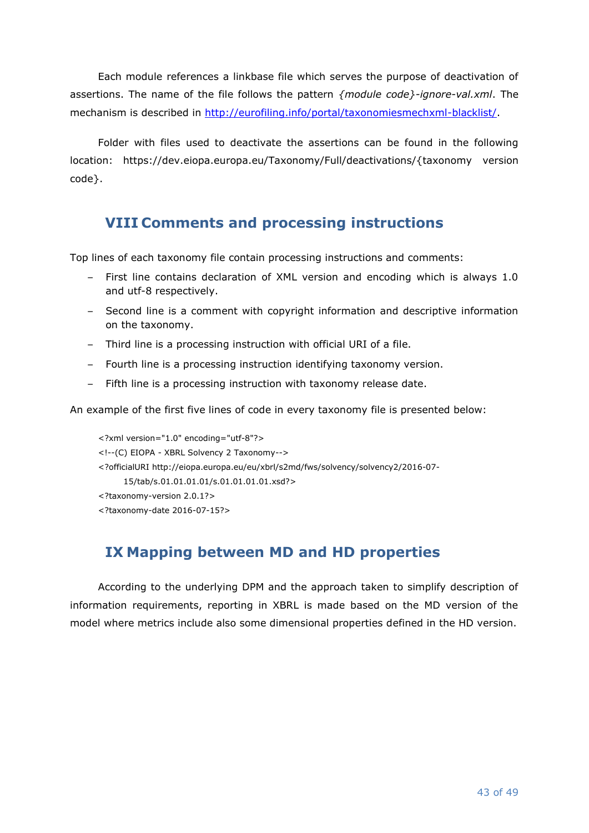Each module references a linkbase file which serves the purpose of deactivation of assertions. The name of the file follows the pattern *{module code}-ignore-val.xml*. The mechanism is described in [http://eurofiling.info/portal/taxonomiesmechxml-blacklist/.](http://eurofiling.info/portal/taxonomiesmechxml-blacklist/)

Folder with files used to deactivate the assertions can be found in the following location: https://dev.eiopa.europa.eu/Taxonomy/Full/deactivations/{taxonomy version code}.

# <span id="page-42-0"></span>**VIII Comments and processing instructions**

Top lines of each taxonomy file contain processing instructions and comments:

- First line contains declaration of XML version and encoding which is always 1.0 and utf-8 respectively.
- Second line is a comment with copyright information and descriptive information on the taxonomy.
- Third line is a processing instruction with official URI of a file.
- Fourth line is a processing instruction identifying taxonomy version.
- Fifth line is a processing instruction with taxonomy release date.

An example of the first five lines of code in every taxonomy file is presented below:

<?xml version="1.0" encoding="utf-8"?> <!--(C) EIOPA - XBRL Solvency 2 Taxonomy--> <?officialURI http://eiopa.europa.eu/eu/xbrl/s2md/fws/solvency/solvency2/2016-07- 15/tab/s.01.01.01.01/s.01.01.01.01.xsd?> <?taxonomy-version 2.0.1?> <?taxonomy-date 2016-07-15?>

# <span id="page-42-1"></span>**IX Mapping between MD and HD properties**

According to the underlying DPM and the approach taken to simplify description of information requirements, reporting in XBRL is made based on the MD version of the model where metrics include also some dimensional properties defined in the HD version.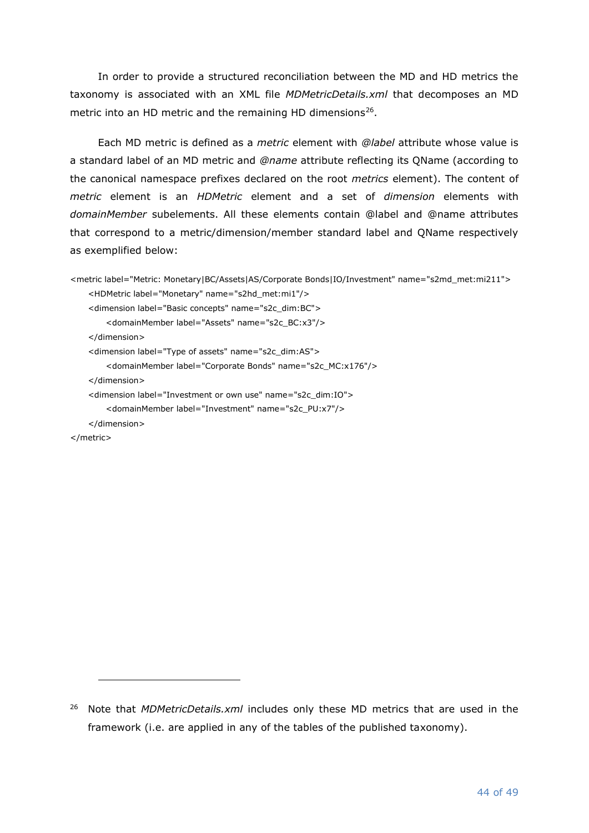In order to provide a structured reconciliation between the MD and HD metrics the taxonomy is associated with an XML file *MDMetricDetails.xml* that decomposes an MD metric into an HD metric and the remaining HD dimensions<sup>26</sup>.

Each MD metric is defined as a *metric* element with *@label* attribute whose value is a standard label of an MD metric and *@name* attribute reflecting its QName (according to the canonical namespace prefixes declared on the root *metrics* element). The content of *metric* element is an *HDMetric* element and a set of *dimension* elements with *domainMember* subelements. All these elements contain @label and @name attributes that correspond to a metric/dimension/member standard label and QName respectively as exemplified below:

```
<metric label="Metric: Monetary|BC/Assets|AS/Corporate Bonds|IO/Investment" name="s2md_met:mi211">
   <HDMetric label="Monetary" name="s2hd_met:mi1"/>
   <dimension label="Basic concepts" name="s2c_dim:BC">
       <domainMember label="Assets" name="s2c_BC:x3"/>
   </dimension>
   <dimension label="Type of assets" name="s2c_dim:AS">
       <domainMember label="Corporate Bonds" name="s2c_MC:x176"/>
   </dimension>
   <dimension label="Investment or own use" name="s2c_dim:IO">
       <domainMember label="Investment" name="s2c_PU:x7"/>
   </dimension>
</metric>
```
<sup>26</sup> Note that *MDMetricDetails.xml* includes only these MD metrics that are used in the framework (i.e. are applied in any of the tables of the published taxonomy).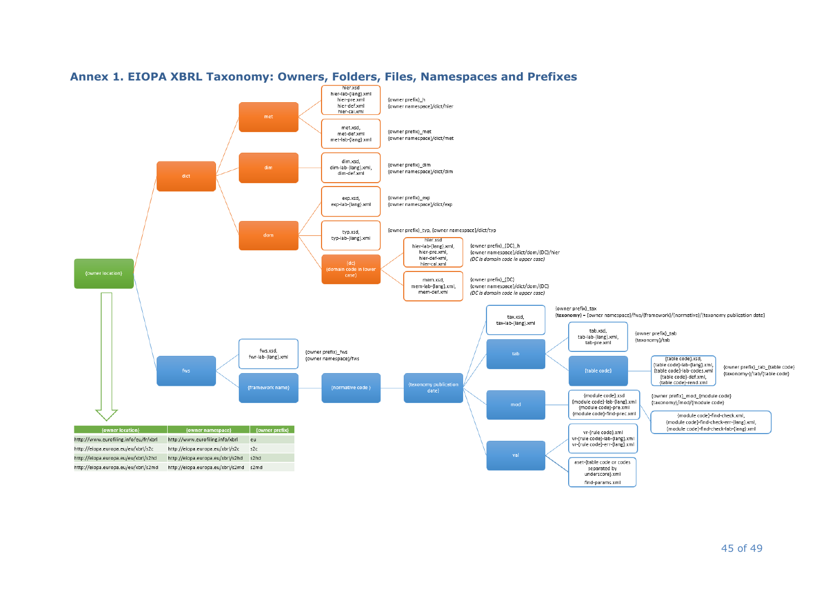<span id="page-44-0"></span>

# **Annex 1. EIOPA XBRL Taxonomy: Owners, Folders, Files, Namespaces and Prefixes**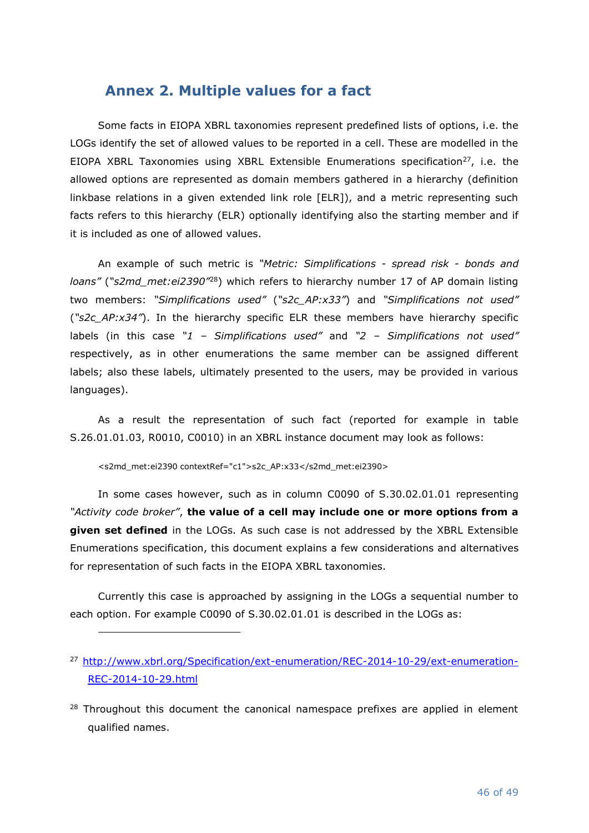# <span id="page-45-0"></span>**Annex 2. Multiple values for a fact**

Some facts in EIOPA XBRL taxonomies represent predefined lists of options, i.e. the LOGs identify the set of allowed values to be reported in a cell. These are modelled in the EIOPA XBRL Taxonomies using XBRL Extensible Enumerations specification<sup>27</sup>, i.e. the allowed options are represented as domain members gathered in a hierarchy (definition linkbase relations in a given extended link role [ELR]), and a metric representing such facts refers to this hierarchy (ELR) optionally identifying also the starting member and if it is included as one of allowed values.

An example of such metric is *"Metric: Simplifications - spread risk - bonds and loans"* (*"s2md\_met:ei2390"*<sup>28</sup>) which refers to hierarchy number 17 of AP domain listing two members: *"Simplifications used"* (*"s2c\_AP:x33"*) and *"Simplifications not used"* (*"s2c\_AP:x34"*). In the hierarchy specific ELR these members have hierarchy specific labels (in this case *"1 – Simplifications used"* and *"2 – Simplifications not used"* respectively, as in other enumerations the same member can be assigned different labels; also these labels, ultimately presented to the users, may be provided in various languages).

As a result the representation of such fact (reported for example in table S.26.01.01.03, R0010, C0010) in an XBRL instance document may look as follows:

<s2md\_met:ei2390 contextRef="c1">s2c\_AP:x33</s2md\_met:ei2390>

In some cases however, such as in column C0090 of S.30.02.01.01 representing *"Activity code broker"*, **the value of a cell may include one or more options from a given set defined** in the LOGs. As such case is not addressed by the XBRL Extensible Enumerations specification, this document explains a few considerations and alternatives for representation of such facts in the EIOPA XBRL taxonomies.

Currently this case is approached by assigning in the LOGs a sequential number to each option. For example C0090 of S.30.02.01.01 is described in the LOGs as:

<sup>27</sup> [http://www.xbrl.org/Specification/ext-enumeration/REC-2014-10-29/ext-enumeration-](http://www.xbrl.org/Specification/ext-enumeration/REC-2014-10-29/ext-enumeration-REC-2014-10-29.html)[REC-2014-10-29.html](http://www.xbrl.org/Specification/ext-enumeration/REC-2014-10-29/ext-enumeration-REC-2014-10-29.html)

 $28$  Throughout this document the canonical namespace prefixes are applied in element qualified names.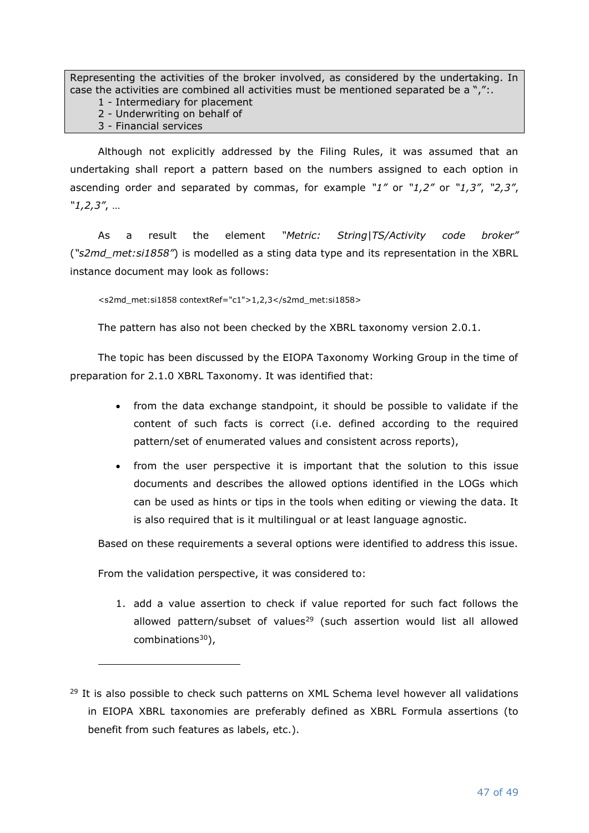Representing the activities of the broker involved, as considered by the undertaking. In case the activities are combined all activities must be mentioned separated be a ",":.

1 - Intermediary for placement

2 - Underwriting on behalf of

3 - Financial services

Although not explicitly addressed by the Filing Rules, it was assumed that an undertaking shall report a pattern based on the numbers assigned to each option in ascending order and separated by commas, for example *"1"* or *"1,2"* or *"1,3"*, *"2,3"*, *"1,2,3"*, …

As a result the element *"Metric: String|TS/Activity code broker"* (*"s2md\_met:si1858"*) is modelled as a sting data type and its representation in the XBRL instance document may look as follows:

<s2md\_met:si1858 contextRef="c1">1,2,3</s2md\_met:si1858>

The pattern has also not been checked by the XBRL taxonomy version 2.0.1.

The topic has been discussed by the EIOPA Taxonomy Working Group in the time of preparation for 2.1.0 XBRL Taxonomy. It was identified that:

- from the data exchange standpoint, it should be possible to validate if the content of such facts is correct (i.e. defined according to the required pattern/set of enumerated values and consistent across reports),
- from the user perspective it is important that the solution to this issue documents and describes the allowed options identified in the LOGs which can be used as hints or tips in the tools when editing or viewing the data. It is also required that is it multilingual or at least language agnostic.

Based on these requirements a several options were identified to address this issue.

From the validation perspective, it was considered to:

1. add a value assertion to check if value reported for such fact follows the allowed pattern/subset of values<sup>29</sup> (such assertion would list all allowed combinations $30$ ),

 $29$  It is also possible to check such patterns on XML Schema level however all validations in EIOPA XBRL taxonomies are preferably defined as XBRL Formula assertions (to benefit from such features as labels, etc.).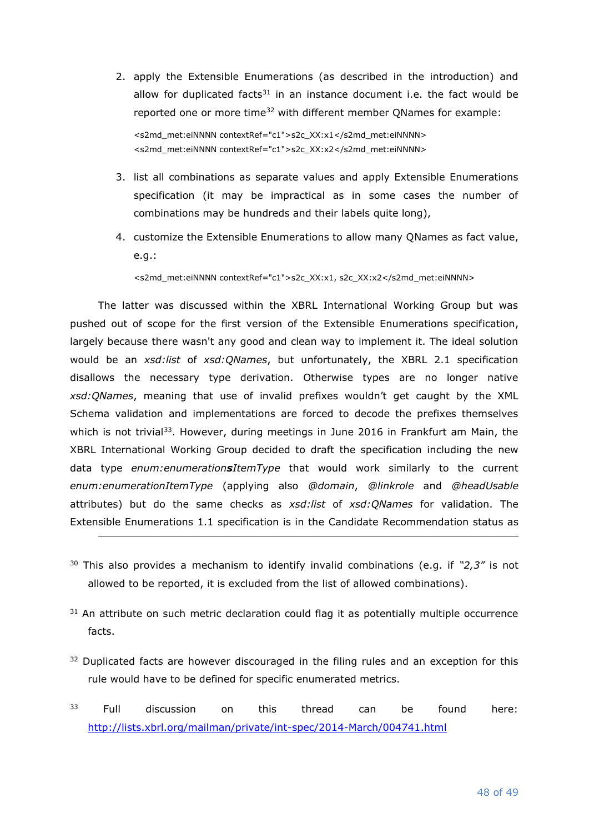2. apply the Extensible Enumerations (as described in the introduction) and allow for duplicated facts $31$  in an instance document i.e. the fact would be reported one or more time<sup>32</sup> with different member QNames for example: <s2md\_met:eiNNNN contextRef="c1">s2c\_XX:x1</s2md\_met:eiNNNN>

<s2md\_met:eiNNNN contextRef="c1">s2c\_XX:x2</s2md\_met:eiNNNN>

- 3. list all combinations as separate values and apply Extensible Enumerations specification (it may be impractical as in some cases the number of combinations may be hundreds and their labels quite long),
- 4. customize the Extensible Enumerations to allow many QNames as fact value, e.g.:

<s2md\_met:eiNNNN contextRef="c1">s2c\_XX:x1, s2c\_XX:x2</s2md\_met:eiNNNN>

The latter was discussed within the XBRL International Working Group but was pushed out of scope for the first version of the Extensible Enumerations specification, largely because there wasn't any good and clean way to implement it. The ideal solution would be an *xsd:list* of *xsd:QNames*, but unfortunately, the XBRL 2.1 specification disallows the necessary type derivation. Otherwise types are no longer native *xsd:QNames*, meaning that use of invalid prefixes wouldn't get caught by the XML Schema validation and implementations are forced to decode the prefixes themselves which is not trivial<sup>33</sup>. However, during meetings in June 2016 in Frankfurt am Main, the XBRL International Working Group decided to draft the specification including the new data type *enum:enumerationsItemType* that would work similarly to the current *enum:enumerationItemType* (applying also *@domain*, *@linkrole* and *@headUsable* attributes) but do the same checks as *xsd:list* of *xsd:QNames* for validation. The Extensible Enumerations 1.1 specification is in the Candidate Recommendation status as

- <sup>30</sup> This also provides a mechanism to identify invalid combinations (e.g. if *"2,3"* is not allowed to be reported, it is excluded from the list of allowed combinations).
- <sup>31</sup> An attribute on such metric declaration could flag it as potentially multiple occurrence facts.
- $32$  Duplicated facts are however discouraged in the filing rules and an exception for this rule would have to be defined for specific enumerated metrics.
- <sup>33</sup> Full discussion on this thread can be found here: <http://lists.xbrl.org/mailman/private/int-spec/2014-March/004741.html>